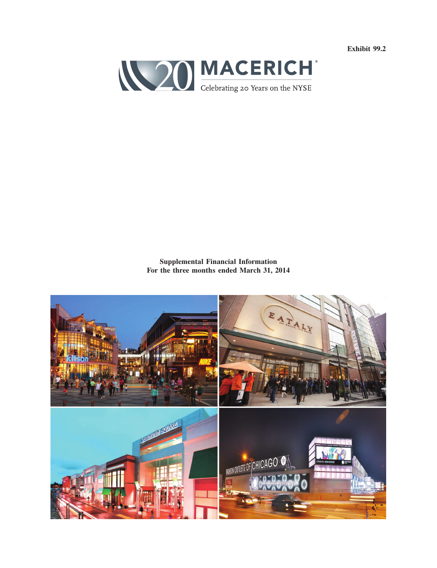**Exhibit 99.2**



**Supplemental Financial Information For the three months ended March 31, 2014**

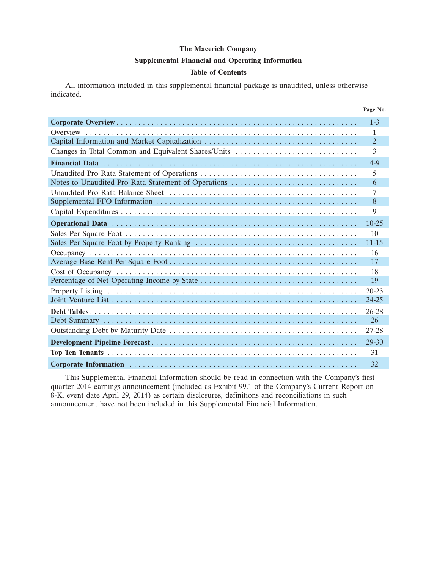#### **Supplemental Financial and Operating Information**

### **Table of Contents**

All information included in this supplemental financial package is unaudited, unless otherwise indicated.

|                                                     | Page No.       |
|-----------------------------------------------------|----------------|
|                                                     | $1 - 3$        |
|                                                     | 1              |
|                                                     | $\overline{2}$ |
| Changes in Total Common and Equivalent Shares/Units | 3              |
|                                                     | $4 - 9$        |
|                                                     | 5              |
| Notes to Unaudited Pro Rata Statement of Operations | 6              |
|                                                     | 7              |
|                                                     | 8              |
|                                                     | 9              |
|                                                     | $10 - 25$      |
|                                                     | 10             |
|                                                     | $11 - 15$      |
|                                                     | 16             |
|                                                     | 17             |
|                                                     | 18             |
|                                                     | 19             |
|                                                     | $20 - 23$      |
|                                                     | 24-25          |
|                                                     | $26 - 28$      |
|                                                     | 26             |
|                                                     | 27-28          |
|                                                     | $29 - 30$      |
|                                                     | 31             |
|                                                     | 32             |

This Supplemental Financial Information should be read in connection with the Company's first quarter 2014 earnings announcement (included as Exhibit 99.1 of the Company's Current Report on 8-K, event date April 29, 2014) as certain disclosures, definitions and reconciliations in such announcement have not been included in this Supplemental Financial Information.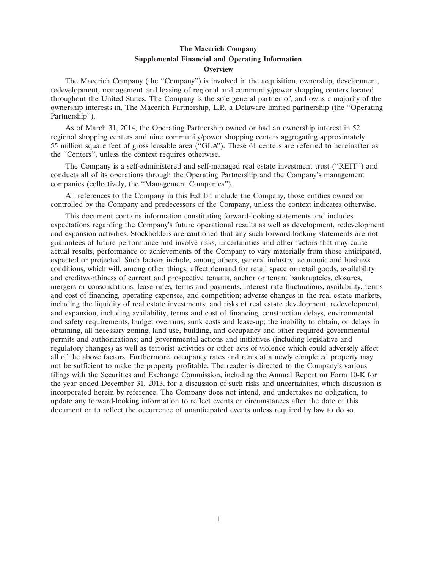### **The Macerich Company Supplemental Financial and Operating Information Overview**

The Macerich Company (the ''Company'') is involved in the acquisition, ownership, development, redevelopment, management and leasing of regional and community/power shopping centers located throughout the United States. The Company is the sole general partner of, and owns a majority of the ownership interests in, The Macerich Partnership, L.P., a Delaware limited partnership (the ''Operating Partnership'').

As of March 31, 2014, the Operating Partnership owned or had an ownership interest in 52 regional shopping centers and nine community/power shopping centers aggregating approximately 55 million square feet of gross leasable area (''GLA''). These 61 centers are referred to hereinafter as the ''Centers'', unless the context requires otherwise.

The Company is a self-administered and self-managed real estate investment trust (''REIT'') and conducts all of its operations through the Operating Partnership and the Company's management companies (collectively, the ''Management Companies'').

All references to the Company in this Exhibit include the Company, those entities owned or controlled by the Company and predecessors of the Company, unless the context indicates otherwise.

This document contains information constituting forward-looking statements and includes expectations regarding the Company's future operational results as well as development, redevelopment and expansion activities. Stockholders are cautioned that any such forward-looking statements are not guarantees of future performance and involve risks, uncertainties and other factors that may cause actual results, performance or achievements of the Company to vary materially from those anticipated, expected or projected. Such factors include, among others, general industry, economic and business conditions, which will, among other things, affect demand for retail space or retail goods, availability and creditworthiness of current and prospective tenants, anchor or tenant bankruptcies, closures, mergers or consolidations, lease rates, terms and payments, interest rate fluctuations, availability, terms and cost of financing, operating expenses, and competition; adverse changes in the real estate markets, including the liquidity of real estate investments; and risks of real estate development, redevelopment, and expansion, including availability, terms and cost of financing, construction delays, environmental and safety requirements, budget overruns, sunk costs and lease-up; the inability to obtain, or delays in obtaining, all necessary zoning, land-use, building, and occupancy and other required governmental permits and authorizations; and governmental actions and initiatives (including legislative and regulatory changes) as well as terrorist activities or other acts of violence which could adversely affect all of the above factors. Furthermore, occupancy rates and rents at a newly completed property may not be sufficient to make the property profitable. The reader is directed to the Company's various filings with the Securities and Exchange Commission, including the Annual Report on Form 10-K for the year ended December 31, 2013, for a discussion of such risks and uncertainties, which discussion is incorporated herein by reference. The Company does not intend, and undertakes no obligation, to update any forward-looking information to reflect events or circumstances after the date of this document or to reflect the occurrence of unanticipated events unless required by law to do so.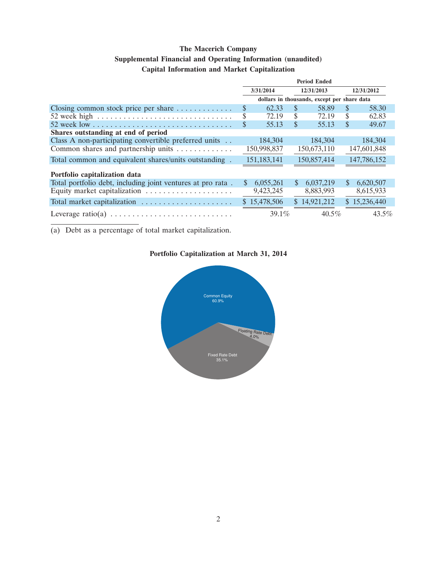## **Supplemental Financial and Operating Information (unaudited)**

## **Capital Information and Market Capitalization**

|                                                                               | <b>Period Ended</b> |              |              |                                             |               |              |
|-------------------------------------------------------------------------------|---------------------|--------------|--------------|---------------------------------------------|---------------|--------------|
|                                                                               |                     | 3/31/2014    |              | 12/31/2013                                  |               | 12/31/2012   |
|                                                                               |                     |              |              | dollars in thousands, except per share data |               |              |
| Closing common stock price per share $\dots \dots \dots$                      | \$                  | 62.33        | S.           | 58.89                                       | <sup>\$</sup> | 58.30        |
| 52 week high $\ldots \ldots \ldots \ldots \ldots \ldots \ldots \ldots \ldots$ | \$                  | 72.19        | S            | 72.19                                       | S             | 62.83        |
|                                                                               | \$                  | 55.13        | S            | 55.13                                       | \$            | 49.67        |
| Shares outstanding at end of period                                           |                     |              |              |                                             |               |              |
| Class A non-participating convertible preferred units                         |                     | 184,304      |              | 184.304                                     |               | 184,304      |
| Common shares and partnership units                                           |                     | 150,998,837  |              | 150,673,110                                 |               | 147,601,848  |
| Total common and equivalent shares/units outstanding.                         |                     | 151,183,141  |              | 150,857,414                                 |               | 147,786,152  |
| Portfolio capitalization data                                                 |                     |              |              |                                             |               |              |
| Total portfolio debt, including joint ventures at pro rata.                   | \$                  | 6,055,261    | <sup>S</sup> | 6,037,219                                   | <sup>\$</sup> | 6,620,507    |
|                                                                               |                     | 9,423,245    |              | 8,883,993                                   |               | 8,615,933    |
| Total market capitalization                                                   |                     | \$15,478,506 |              | \$14,921,212                                |               | \$15,236,440 |
|                                                                               |                     | $39.1\%$     |              | $40.5\%$                                    |               | $43.5\%$     |

(a) Debt as a percentage of total market capitalization.

# **Portfolio Capitalization at March 31, 2014**

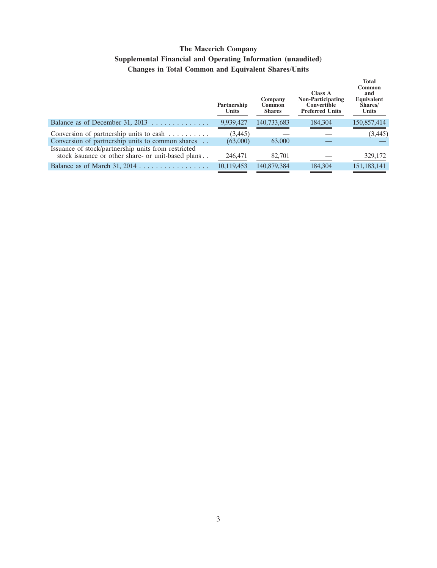# **The Macerich Company Supplemental Financial and Operating Information (unaudited) Changes in Total Common and Equivalent Shares/Units**

|                                                                                                           | Partnership<br><b>Units</b> | Company<br>Common<br><b>Shares</b> | Class A<br><b>Non-Participating</b><br>Convertible<br><b>Preferred Units</b> | <b>Total</b><br>Common<br>and<br>Equivalent<br>Shares/<br>Units |
|-----------------------------------------------------------------------------------------------------------|-----------------------------|------------------------------------|------------------------------------------------------------------------------|-----------------------------------------------------------------|
| Balance as of December 31, $2013$                                                                         | 9,939,427                   | 140,733,683                        | 184,304                                                                      | 150,857,414                                                     |
| Conversion of partnership units to cash $\dots \dots$                                                     | (3, 445)                    |                                    |                                                                              | (3, 445)                                                        |
| Conversion of partnership units to common shares                                                          | (63,000)                    | 63,000                             |                                                                              |                                                                 |
| Issuance of stock/partnership units from restricted<br>stock issuance or other share- or unit-based plans | 246,471                     | 82,701                             |                                                                              | 329,172                                                         |
|                                                                                                           | 10,119,453                  | 140,879,384                        | 184,304                                                                      | 151, 183, 141                                                   |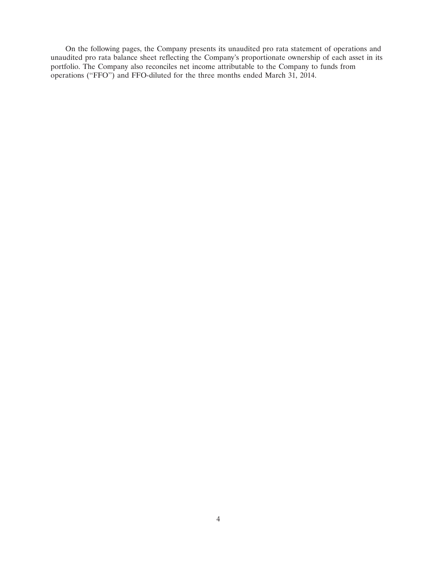On the following pages, the Company presents its unaudited pro rata statement of operations and unaudited pro rata balance sheet reflecting the Company's proportionate ownership of each asset in its portfolio. The Company also reconciles net income attributable to the Company to funds from operations ("FFO") and FFO-diluted for the three months ended March 31, 2014.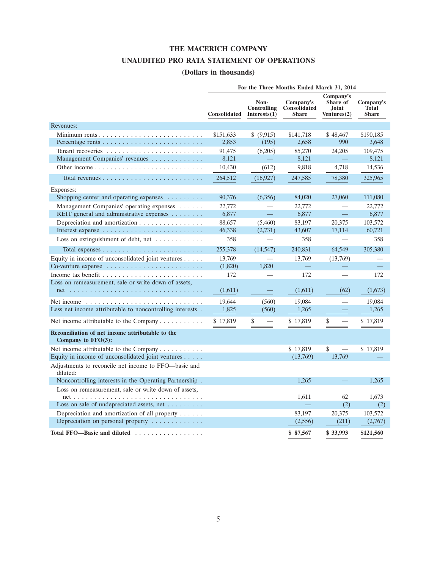## **THE MACERICH COMPANY**

# **UNAUDITED PRO RATA STATEMENT OF OPERATIONS**

# **(Dollars in thousands)**

|                                                                            | For the Three Months Ended March 31, 2014 |                                        |                                           |                                               |                                           |  |  |  |
|----------------------------------------------------------------------------|-------------------------------------------|----------------------------------------|-------------------------------------------|-----------------------------------------------|-------------------------------------------|--|--|--|
|                                                                            | <b>Consolidated</b>                       | Non-<br>Controlling<br>Interests $(1)$ | Company's<br>Consolidated<br><b>Share</b> | Company's<br>Share of<br>Joint<br>Ventures(2) | Company's<br><b>Total</b><br><b>Share</b> |  |  |  |
| Revenues:                                                                  |                                           |                                        |                                           |                                               |                                           |  |  |  |
| Minimum rents                                                              | \$151,633                                 | \$ (9,915)                             | \$141,718                                 | \$48,467                                      | \$190,185                                 |  |  |  |
|                                                                            | 2,853                                     | (195)                                  | 2,658                                     | 990                                           | 3,648                                     |  |  |  |
|                                                                            | 91,475                                    | (6,205)                                | 85,270                                    | 24,205                                        | 109,475                                   |  |  |  |
| Management Companies' revenues                                             | 8,121                                     |                                        | 8,121                                     |                                               | 8,121                                     |  |  |  |
| Other income                                                               | 10,430                                    | (612)                                  | 9,818                                     | 4,718                                         | 14,536                                    |  |  |  |
|                                                                            | 264,512                                   | (16, 927)                              | 247,585                                   | 78,380                                        | 325,965                                   |  |  |  |
| Expenses:                                                                  |                                           |                                        |                                           |                                               |                                           |  |  |  |
| Shopping center and operating expenses                                     | 90,376                                    | (6,356)                                | 84,020                                    | 27,060                                        | 111,080                                   |  |  |  |
| Management Companies' operating expenses                                   | 22,772                                    |                                        | 22,772                                    |                                               | 22,772                                    |  |  |  |
| REIT general and administrative expenses                                   | 6,877                                     | $\equiv$                               | 6,877                                     | $\qquad \qquad -$                             | 6,877                                     |  |  |  |
| Depreciation and amortization                                              | 88,657                                    | (5,460)                                | 83,197                                    | 20,375                                        | 103,572                                   |  |  |  |
|                                                                            | 46,338                                    | (2,731)                                | 43,607                                    | 17,114                                        | 60,721                                    |  |  |  |
| Loss on extinguishment of debt, net                                        | 358                                       |                                        | 358                                       |                                               | 358                                       |  |  |  |
| Total expenses $\dots \dots \dots \dots \dots \dots \dots \dots \dots$     | 255,378                                   | (14, 547)                              | 240,831                                   | 64,549                                        | 305,380                                   |  |  |  |
| Equity in income of unconsolidated joint ventures $\dots$ .                | 13,769                                    |                                        | 13,769                                    | (13,769)                                      |                                           |  |  |  |
| Co-venture expense $\dots \dots \dots \dots \dots \dots \dots \dots \dots$ | (1,820)                                   | 1,820                                  |                                           |                                               |                                           |  |  |  |
|                                                                            | 172                                       |                                        | 172                                       |                                               | 172                                       |  |  |  |
| Loss on remeasurement, sale or write down of assets,                       |                                           |                                        |                                           |                                               |                                           |  |  |  |
|                                                                            | (1,611)                                   |                                        | (1,611)                                   | (62)                                          | (1,673)                                   |  |  |  |
|                                                                            | 19,644                                    | (560)                                  | 19,084                                    | and a                                         | 19,084                                    |  |  |  |
| Less net income attributable to noncontrolling interests.                  | 1,825                                     | (560)                                  | 1,265                                     |                                               | 1,265                                     |  |  |  |
| Net income attributable to the Company $\dots \dots \dots$                 | \$17,819                                  | \$                                     | \$17,819                                  | \$                                            | \$17,819                                  |  |  |  |
| Reconciliation of net income attributable to the<br>Company to $FFO(3)$ :  |                                           |                                        |                                           |                                               |                                           |  |  |  |
| Net income attributable to the Company                                     |                                           |                                        | \$17,819                                  | \$                                            | \$17,819                                  |  |  |  |
| Equity in income of unconsolidated joint ventures                          |                                           |                                        | (13,769)                                  | 13,769                                        |                                           |  |  |  |
| Adjustments to reconcile net income to FFO—basic and<br>diluted:           |                                           |                                        |                                           |                                               |                                           |  |  |  |
| Noncontrolling interests in the Operating Partnership.                     |                                           |                                        | 1.265                                     |                                               | 1,265                                     |  |  |  |
| Loss on remeasurement, sale or write down of assets,                       |                                           |                                        |                                           |                                               |                                           |  |  |  |
|                                                                            |                                           |                                        | 1,611                                     | 62                                            | 1,673                                     |  |  |  |
| Loss on sale of undepreciated assets, net                                  |                                           |                                        |                                           | (2)                                           | (2)                                       |  |  |  |
| Depreciation and amortization of all property $\dots$ .                    |                                           |                                        | 83,197                                    | 20,375                                        | 103,572                                   |  |  |  |
| Depreciation on personal property                                          |                                           |                                        | (2,556)                                   | (211)                                         | (2,767)                                   |  |  |  |
| Total FFO-Basic and diluted                                                |                                           |                                        | \$87,567                                  | \$33.993                                      | \$121,560                                 |  |  |  |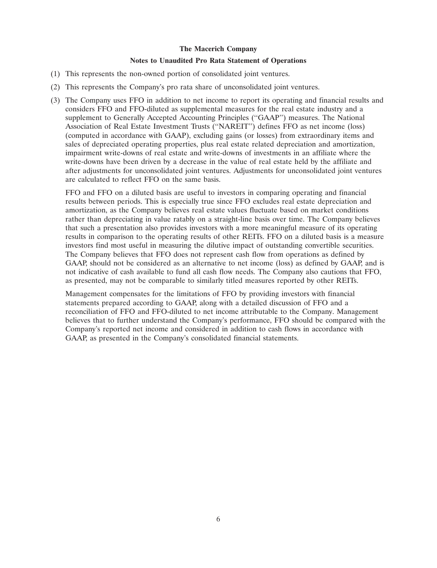### **Notes to Unaudited Pro Rata Statement of Operations**

- (1) This represents the non-owned portion of consolidated joint ventures.
- (2) This represents the Company's pro rata share of unconsolidated joint ventures.
- (3) The Company uses FFO in addition to net income to report its operating and financial results and considers FFO and FFO-diluted as supplemental measures for the real estate industry and a supplement to Generally Accepted Accounting Principles (''GAAP'') measures. The National Association of Real Estate Investment Trusts (''NAREIT'') defines FFO as net income (loss) (computed in accordance with GAAP), excluding gains (or losses) from extraordinary items and sales of depreciated operating properties, plus real estate related depreciation and amortization, impairment write-downs of real estate and write-downs of investments in an affiliate where the write-downs have been driven by a decrease in the value of real estate held by the affiliate and after adjustments for unconsolidated joint ventures. Adjustments for unconsolidated joint ventures are calculated to reflect FFO on the same basis.

FFO and FFO on a diluted basis are useful to investors in comparing operating and financial results between periods. This is especially true since FFO excludes real estate depreciation and amortization, as the Company believes real estate values fluctuate based on market conditions rather than depreciating in value ratably on a straight-line basis over time. The Company believes that such a presentation also provides investors with a more meaningful measure of its operating results in comparison to the operating results of other REITs. FFO on a diluted basis is a measure investors find most useful in measuring the dilutive impact of outstanding convertible securities. The Company believes that FFO does not represent cash flow from operations as defined by GAAP, should not be considered as an alternative to net income (loss) as defined by GAAP, and is not indicative of cash available to fund all cash flow needs. The Company also cautions that FFO, as presented, may not be comparable to similarly titled measures reported by other REITs.

Management compensates for the limitations of FFO by providing investors with financial statements prepared according to GAAP, along with a detailed discussion of FFO and a reconciliation of FFO and FFO-diluted to net income attributable to the Company. Management believes that to further understand the Company's performance, FFO should be compared with the Company's reported net income and considered in addition to cash flows in accordance with GAAP, as presented in the Company's consolidated financial statements.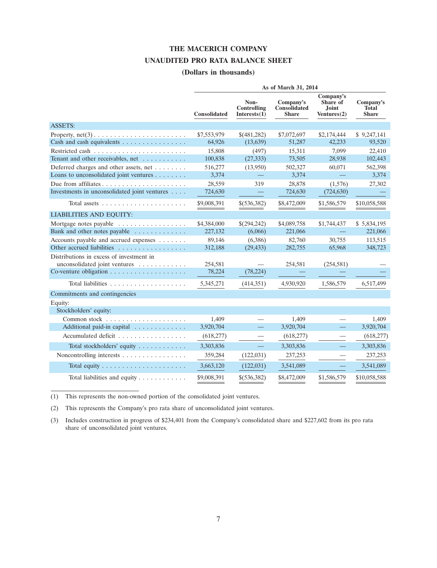### **THE MACERICH COMPANY**

#### **UNAUDITED PRO RATA BALANCE SHEET**

## **(Dollars in thousands)**

|                                                                            | As of March 31, 2014 |                                        |                                           |                                                         |                                           |  |  |
|----------------------------------------------------------------------------|----------------------|----------------------------------------|-------------------------------------------|---------------------------------------------------------|-------------------------------------------|--|--|
|                                                                            | <b>Consolidated</b>  | Non-<br>Controlling<br>Interests $(1)$ | Company's<br>Consolidated<br><b>Share</b> | Company's<br>Share of<br><b>Joint</b><br>Ventures $(2)$ | Company's<br><b>Total</b><br><b>Share</b> |  |  |
| <b>ASSETS:</b>                                                             |                      |                                        |                                           |                                                         |                                           |  |  |
| Property, $net(3) \ldots \ldots \ldots \ldots \ldots \ldots \ldots \ldots$ | \$7,553,979          | \$(481,282)                            | \$7,072,697                               | \$2,174,444                                             | \$9,247,141                               |  |  |
| Cash and cash equivalents                                                  | 64.926               | (13, 639)                              | 51,287                                    | 42,233                                                  | 93,520                                    |  |  |
|                                                                            | 15,808               | (497)                                  | 15,311                                    | 7,099                                                   | 22,410                                    |  |  |
| Tenant and other receivables, net                                          | 100,838              | (27, 333)                              | 73,505                                    | 28,938                                                  | 102,443                                   |  |  |
| Deferred charges and other assets, net $\dots\dots$                        | 516,277              | (13,950)                               | 502,327                                   | 60,071                                                  | 562,398                                   |  |  |
| Loans to unconsolidated joint ventures                                     | 3,374                |                                        | 3,374                                     |                                                         | 3,374                                     |  |  |
|                                                                            | 28,559               | 319                                    | 28,878                                    | (1,576)                                                 | 27,302                                    |  |  |
| Investments in unconsolidated joint ventures                               | 724,630              |                                        | 724,630                                   | (724, 630)                                              |                                           |  |  |
| Total assets $\ldots \ldots \ldots \ldots \ldots$                          | \$9,008,391          | \$(536,382)                            | \$8,472,009                               | \$1,586,579                                             | \$10,058,588                              |  |  |
| <b>LIABILITIES AND EQUITY:</b>                                             |                      |                                        |                                           |                                                         |                                           |  |  |
| Mortgage notes payable                                                     | \$4,384,000          | \$(294,242)                            | \$4,089,758                               | \$1,744,437                                             | \$5,834,195                               |  |  |
| Bank and other notes payable                                               | 227,132              | (6,066)                                | 221,066                                   |                                                         | 221,066                                   |  |  |
| Accounts payable and accrued expenses                                      | 89,146               | (6,386)                                | 82,760                                    | 30,755                                                  | 113,515                                   |  |  |
| Other accrued liabilities                                                  | 312,188              | (29, 433)                              | 282,755                                   | 65,968                                                  | 348,723                                   |  |  |
| Distributions in excess of investment in                                   |                      |                                        |                                           |                                                         |                                           |  |  |
| unconsolidated joint ventures                                              | 254,581              |                                        | 254,581                                   | (254, 581)                                              |                                           |  |  |
|                                                                            | 78,224               | (78, 224)                              |                                           |                                                         |                                           |  |  |
|                                                                            | 5,345,271            | (414,351)                              | 4,930,920                                 | 1,586,579                                               | 6,517,499                                 |  |  |
| Commitments and contingencies                                              |                      |                                        |                                           |                                                         |                                           |  |  |
| Equity:                                                                    |                      |                                        |                                           |                                                         |                                           |  |  |
| Stockholders' equity:                                                      |                      |                                        |                                           |                                                         |                                           |  |  |
|                                                                            | 1.409                |                                        | 1.409                                     |                                                         | 1.409                                     |  |  |
| Additional paid-in capital                                                 | 3,920,704            |                                        | 3,920,704                                 | $\equiv$                                                | 3,920,704                                 |  |  |
| Accumulated deficit                                                        | (618,277)            |                                        | (618,277)                                 |                                                         | (618, 277)                                |  |  |
| Total stockholders' equity                                                 | 3,303,836            | $\equiv$                               | 3,303,836                                 | $\overline{\phantom{0}}$                                | 3,303,836                                 |  |  |
| Noncontrolling interests                                                   | 359,284              | (122, 031)                             | 237,253                                   |                                                         | 237,253                                   |  |  |
|                                                                            | 3,663,120            | (122, 031)                             | 3,541,089                                 |                                                         | 3,541,089                                 |  |  |
| Total liabilities and equity                                               | \$9,008,391          | \$(536,382)                            | \$8,472,009                               | \$1,586,579                                             | \$10,058,588                              |  |  |

(1) This represents the non-owned portion of the consolidated joint ventures.

(2) This represents the Company's pro rata share of unconsolidated joint ventures.

(3) Includes construction in progress of \$234,401 from the Company's consolidated share and \$227,602 from its pro rata share of unconsolidated joint ventures.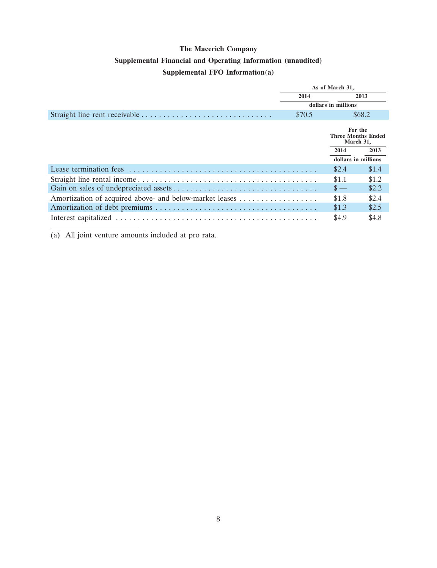# **The Macerich Company Supplemental Financial and Operating Information (unaudited) Supplemental FFO Information(a)**

| As of March 31, |                                                   |        |  |
|-----------------|---------------------------------------------------|--------|--|
| 2014            |                                                   | 2013   |  |
|                 | dollars in millions                               |        |  |
| \$70.5          |                                                   | \$68.2 |  |
|                 | For the<br><b>Three Months Ended</b><br>March 31, |        |  |
|                 | 2014                                              | 2013   |  |
|                 | dollars in millions                               |        |  |
|                 | \$2.4                                             | \$1.4  |  |
|                 | \$1.1                                             | \$1.2  |  |
|                 | $\mathbf{s}$ —                                    | \$2.2  |  |
|                 | \$1.8                                             | \$2.4  |  |
|                 | \$1.3                                             | \$2.5  |  |
|                 | \$4.9                                             | \$4.8  |  |

(a) All joint venture amounts included at pro rata.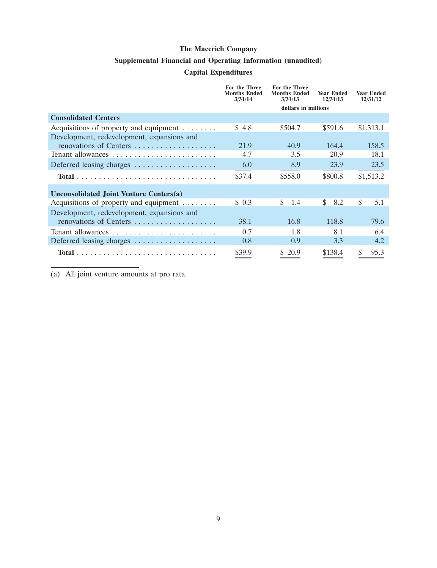## **Supplemental Financial and Operating Information (unaudited)**

### **Capital Expenditures**

|                                                     | For the Three<br><b>Months Ended</b><br>3/31/14 | <b>For the Three</b><br><b>Months Ended</b><br>3/31/13 | <b>Year Ended</b><br>12/31/13 | <b>Year Ended</b><br>12/31/12 |
|-----------------------------------------------------|-------------------------------------------------|--------------------------------------------------------|-------------------------------|-------------------------------|
|                                                     |                                                 | dollars in millions                                    |                               |                               |
| <b>Consolidated Centers</b>                         |                                                 |                                                        |                               |                               |
| Acquisitions of property and equipment $\dots\dots$ | \$4.8                                           | \$504.7                                                | \$591.6                       | \$1,313.1                     |
| Development, redevelopment, expansions and          |                                                 |                                                        |                               |                               |
| renovations of Centers                              | 21.9                                            | 40.9                                                   | 164.4                         | 158.5                         |
| Tenant allowances                                   | 4.7                                             | 3.5                                                    | 20.9                          | 18.1                          |
| Deferred leasing charges                            | 6.0                                             | 8.9                                                    | 23.9                          | 23.5                          |
|                                                     | \$37.4                                          | \$558.0                                                | \$800.8                       | \$1,513.2                     |
| Unconsolidated Joint Venture Centers(a)             |                                                 |                                                        |                               |                               |
| Acquisitions of property and equipment $\dots\dots$ | \$0.3                                           | \$<br>1.4                                              | \$.<br>8.2                    | <sup>\$</sup><br>5.1          |
| Development, redevelopment, expansions and          |                                                 |                                                        |                               |                               |
| renovations of Centers                              | 38.1                                            | 16.8                                                   | 118.8                         | 79.6                          |
|                                                     | 0.7                                             | 1.8                                                    | 8.1                           | 6.4                           |
| Deferred leasing charges                            | 0.8                                             | 0.9                                                    | 3.3                           | 4.2                           |
|                                                     | \$39.9                                          | \$20.9                                                 | \$138.4                       | \$<br>95.3                    |

(a) All joint venture amounts at pro rata.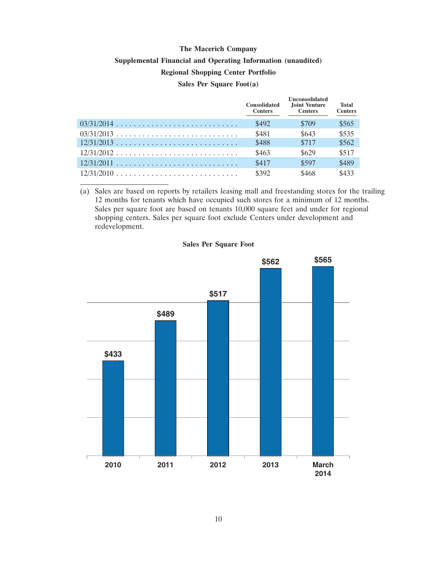# **The Macerich Company Supplemental Financial and Operating Information (unaudited) Regional Shopping Center Portfolio Sales Per Square Foot(a)**

|              | <b>Consolidated</b><br><b>Centers</b> | <b>Unconsolidated</b><br>Joint Venture<br><b>Centers</b> | <b>Total</b><br><b>Centers</b> |
|--------------|---------------------------------------|----------------------------------------------------------|--------------------------------|
|              | \$492                                 | \$709                                                    | \$565                          |
| $03/31/2013$ | \$481                                 | \$643                                                    | \$535                          |
| $12/31/2013$ | \$488                                 | \$717                                                    | \$562                          |
| $12/31/2012$ | \$463                                 | \$629                                                    | \$517                          |
|              | \$417                                 | \$597                                                    | \$489                          |
| $12/31/2010$ | \$392                                 | \$468                                                    | \$433                          |

(a) Sales are based on reports by retailers leasing mall and freestanding stores for the trailing 12 months for tenants which have occupied such stores for a minimum of 12 months. Sales per square foot are based on tenants 10,000 square feet and under for regional shopping centers. Sales per square foot exclude Centers under development and redevelopment.



#### **Sales Per Square Foot**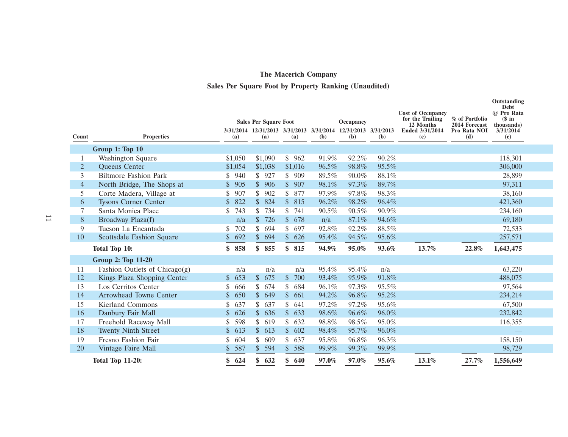# **Sales Per Square Foot by Property Ranking (Unaudited)**

|                |                                  |           | <b>Sales Per Square Foot</b>          |                      |       | Occupancy                             |       | <b>Cost of Occupancy</b><br>for the Trailing | % of Portfolio                       | Outstanding<br><b>Debt</b><br>@ Pro Rata<br>$$$ in |  |
|----------------|----------------------------------|-----------|---------------------------------------|----------------------|-------|---------------------------------------|-------|----------------------------------------------|--------------------------------------|----------------------------------------------------|--|
| Count          | <b>Properties</b>                | (a)       | 3/31/2014 12/31/2013 3/31/2013<br>(a) | (a)                  | (b)   | 3/31/2014 12/31/2013 3/31/2013<br>(b) | (b)   | 12 Months<br>Ended 3/31/2014<br>(c)          | 2014 Forecast<br>Pro Rata NOI<br>(d) | thousands)<br>3/31/2014<br>(e)                     |  |
|                | Group 1: Top 10                  |           |                                       |                      |       |                                       |       |                                              |                                      |                                                    |  |
|                | <b>Washington Square</b>         | \$1,050   | \$1,090                               | \$<br>962            | 91.9% | 92.2%                                 | 90.2% |                                              |                                      | 118,301                                            |  |
| $\overline{2}$ | Queens Center                    | \$1,054   | \$1,038                               | \$1,016              | 96.5% | 98.8%                                 | 95.5% |                                              |                                      | 306,000                                            |  |
| 3              | <b>Biltmore Fashion Park</b>     | \$<br>940 | \$927                                 | \$<br>909            | 89.5% | 90.0%                                 | 88.1% |                                              |                                      | 28,899                                             |  |
| $\overline{4}$ | North Bridge, The Shops at       | \$<br>905 | \$906                                 | $\sqrt$<br>907       | 98.1% | 97.3%                                 | 89.7% |                                              |                                      | 97,311                                             |  |
| 5              | Corte Madera, Village at         | 907<br>\$ | \$<br>902                             | \$<br>877            | 97.9% | 97.8%                                 | 98.3% |                                              |                                      | 38,160                                             |  |
| 6              | <b>Tysons Corner Center</b>      | 822<br>\$ | $\mathbb{S}$<br>824                   | $\mathbb{S}$<br>815  | 96.2% | 98.2%                                 | 96.4% |                                              |                                      | 421,360                                            |  |
| 7              | Santa Monica Place               | 743<br>\$ | \$<br>734                             | \$<br>741            | 90.5% | 90.5%                                 | 90.9% |                                              |                                      | 234,160                                            |  |
| 8              | Broadway Plaza(f)                | n/a       | $\mathsf{\$}$<br>726                  | $\mathbb{S}$<br>678  | n/a   | 87.1%                                 | 94.6% |                                              |                                      | 69,180                                             |  |
| 9              | Tucson La Encantada              | 702<br>\$ | \$<br>694                             | \$<br>697            | 92.8% | 92.2%                                 | 88.5% |                                              |                                      | 72,533                                             |  |
| 10             | Scottsdale Fashion Square        | 692<br>\$ | $\mathcal{S}$<br>694                  | \$<br>626            | 95.4% | 94.5%                                 | 95.6% |                                              |                                      | 257,571                                            |  |
|                | Total Top 10:                    | 858<br>\$ | \$<br>855                             | \$<br>815            | 94.9% | 95.0%                                 | 93.6% | 13.7%                                        | 22.8%                                | 1,643,475                                          |  |
|                | <b>Group 2: Top 11-20</b>        |           |                                       |                      |       |                                       |       |                                              |                                      |                                                    |  |
| 11             | Fashion Outlets of Chicago $(g)$ | n/a       | n/a                                   | n/a                  | 95.4% | 95.4%                                 | n/a   |                                              |                                      | 63,220                                             |  |
| 12             | Kings Plaza Shopping Center      | 653<br>\$ | 675<br>$\mathbb{S}$                   | $\mathcal{S}$<br>700 | 93.4% | 95.9%                                 | 91.8% |                                              |                                      | 488,075                                            |  |
| 13             | Los Cerritos Center              | 666       | 674<br>\$                             | 684<br>\$            | 96.1% | 97.3%                                 | 95.5% |                                              |                                      | 97,564                                             |  |
| 14             | Arrowhead Towne Center           | 650<br>\$ | $\mathbb{S}$<br>649                   | \$<br>661            | 94.2% | 96.8%                                 | 95.2% |                                              |                                      | 234,214                                            |  |
| 15             | <b>Kierland Commons</b>          | 637<br>\$ | \$<br>637                             | \$<br>641            | 97.2% | 97.2%                                 | 95.6% |                                              |                                      | 67,500                                             |  |
| 16             | Danbury Fair Mall                | 626<br>\$ | $\mathsf{\$}$<br>636                  | $\mathbb{S}$<br>633  | 98.6% | 96.6%                                 | 96.0% |                                              |                                      | 232,842                                            |  |
| 17             | Freehold Raceway Mall            | 598       | \$<br>619                             | \$<br>632            | 98.8% | 98.5%                                 | 95.0% |                                              |                                      | 116,355                                            |  |
| 18             | <b>Twenty Ninth Street</b>       | 613<br>\$ | $\frac{1}{2}$<br>613                  | $\mathbb{S}$<br>602  | 98.4% | 95.7%                                 | 96.0% |                                              |                                      |                                                    |  |
| 19             | Fresno Fashion Fair              | 604<br>\$ | \$<br>609                             | \$<br>637            | 95.8% | 96.8%                                 | 96.3% |                                              |                                      | 158,150                                            |  |
| 20             | Vintage Faire Mall               | 587<br>\$ | $\frac{1}{2}$<br>594                  | \$<br>588            | 99.9% | 99.3%                                 | 99.9% |                                              |                                      | 98,729                                             |  |
|                | <b>Total Top 11-20:</b>          | \$624     | \$<br>632                             | 640<br>\$            | 97.0% | 97.0%                                 | 95.6% | 13.1%                                        | 27.7%                                | 1,556,649                                          |  |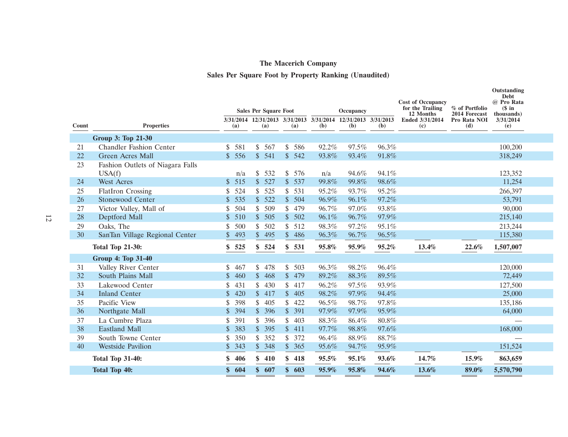# **Sales Per Square Foot by Property Ranking (Unaudited)**

|       |                                  |                       | <b>Sales Per Square Foot</b> |                     |       | Occupancy                                                            |       | <b>Cost of Occupancy</b><br>for the Trailing<br>12 Months | % of Portfolio<br>2014 Forecast | Outstanding<br><b>Debt</b><br>@ Pro Rata<br>$$$ in<br>thousands) |  |
|-------|----------------------------------|-----------------------|------------------------------|---------------------|-------|----------------------------------------------------------------------|-------|-----------------------------------------------------------|---------------------------------|------------------------------------------------------------------|--|
| Count | <b>Properties</b>                | (a)                   | (a)                          | (a)                 | (b)   | 3/31/2014 12/31/2013 3/31/2013 3/31/2014 12/31/2013 3/31/2013<br>(b) | (b)   | Ended 3/31/2014<br>(c)                                    | Pro Rata NOI<br>(d)             | 3/31/2014<br>(e)                                                 |  |
|       | Group 3: Top 21-30               |                       |                              |                     |       |                                                                      |       |                                                           |                                 |                                                                  |  |
| 21    | <b>Chandler Fashion Center</b>   | 581<br>\$             | \$567                        | \$<br>586           | 92.2% | 97.5%                                                                | 96.3% |                                                           |                                 | 100,200                                                          |  |
| 22    | Green Acres Mall                 | 556<br>\$             | \$541                        | \$<br>542           | 93.8% | 93.4%                                                                | 91.8% |                                                           |                                 | 318,249                                                          |  |
| 23    | Fashion Outlets of Niagara Falls |                       |                              |                     |       |                                                                      |       |                                                           |                                 |                                                                  |  |
|       | USA(f)                           | n/a                   | \$532                        | \$576               | n/a   | 94.6%                                                                | 94.1% |                                                           |                                 | 123,352                                                          |  |
| 24    | <b>West Acres</b>                | 515<br>$\mathbb{S}$   | \$527                        | $\mathbb{S}$<br>537 | 99.8% | 99.8%                                                                | 98.6% |                                                           |                                 | 11,254                                                           |  |
| 25    | <b>FlatIron Crossing</b>         | 524<br>\$             | \$525                        | \$<br>531           | 95.2% | 93.7%                                                                | 95.2% |                                                           |                                 | 266,397                                                          |  |
| 26    | Stonewood Center                 | 535<br>$\mathbb{S}^-$ | \$522                        | $\mathbb{S}$<br>504 | 96.9% | 96.1%                                                                | 97.2% |                                                           |                                 | 53,791                                                           |  |
| 27    | Victor Valley, Mall of           | 504<br>\$             | \$509                        | 479<br>\$           | 96.7% | 97.0%                                                                | 93.8% |                                                           |                                 | 90,000                                                           |  |
| 28    | Deptford Mall                    | $\mathbb{S}$<br>510   | \$505                        | \$<br>502           | 96.1% | 96.7%                                                                | 97.9% |                                                           |                                 | 215,140                                                          |  |
| 29    | Oaks, The                        | 500                   | \$<br>502                    | \$<br>512           | 98.3% | 97.2%                                                                | 95.1% |                                                           |                                 | 213,244                                                          |  |
| 30    | SanTan Village Regional Center   | 493                   | \$495                        | \$<br>486           | 96.3% | 96.7%                                                                | 96.5% |                                                           |                                 | 115,380                                                          |  |
|       | <b>Total Top 21-30:</b>          | \$<br>525             | \$524                        | \$<br>531           | 95.8% | 95.9%                                                                | 95.2% | 13.4%                                                     | 22.6%                           | 1,507,007                                                        |  |
|       | <b>Group 4: Top 31-40</b>        |                       |                              |                     |       |                                                                      |       |                                                           |                                 |                                                                  |  |
| 31    | Valley River Center              | \$<br>467             | 478<br>\$                    | \$<br>503           | 96.3% | 98.2%                                                                | 96.4% |                                                           |                                 | 120,000                                                          |  |
| 32    | South Plains Mall                | \$<br>460             | $\mathbb{S}$<br>468          | \$<br>479           | 89.2% | 88.3%                                                                | 89.5% |                                                           |                                 | 72,449                                                           |  |
| 33    | Lakewood Center                  | 431<br>\$             | \$<br>430                    | \$<br>417           | 96.2% | 97.5%                                                                | 93.9% |                                                           |                                 | 127,500                                                          |  |
| 34    | <b>Inland Center</b>             | 420<br>\$             | \$417                        | \$<br>405           | 98.2% | 97.9%                                                                | 94.4% |                                                           |                                 | 25,000                                                           |  |
| 35    | Pacific View                     | 398<br>\$             | \$<br>405                    | \$<br>422           | 96.5% | 98.7%                                                                | 97.8% |                                                           |                                 | 135,186                                                          |  |
| 36    | Northgate Mall                   | 394<br>\$             | \$396                        | $\mathbb{S}$<br>391 | 97.9% | 97.9%                                                                | 95.9% |                                                           |                                 | 64,000                                                           |  |
| 37    | La Cumbre Plaza                  | 391<br>\$             | \$396                        | \$<br>403           | 88.3% | 86.4%                                                                | 80.8% |                                                           |                                 |                                                                  |  |
| 38    | <b>Eastland Mall</b>             | 383<br>\$             | \$395                        | $\mathbb{S}$<br>411 | 97.7% | 98.8%                                                                | 97.6% |                                                           |                                 | 168,000                                                          |  |
| 39    | South Towne Center               | 350<br>\$             | \$<br>352                    | \$<br>372           | 96.4% | 88.9%                                                                | 88.7% |                                                           |                                 |                                                                  |  |
| 40    | <b>Westside Pavilion</b>         | $\mathbb{S}$<br>343   | \$348                        | \$<br>365           | 95.6% | 94.7%                                                                | 95.9% |                                                           |                                 | 151,524                                                          |  |
|       | <b>Total Top 31-40:</b>          | 406<br>\$             | \$410                        | \$<br>418           | 95.5% | 95.1%                                                                | 93.6% | 14.7%                                                     | 15.9%                           | 863,659                                                          |  |
|       | <b>Total Top 40:</b>             | \$<br>604             | \$607                        | 603<br>\$           | 95.9% | 95.8%                                                                | 94.6% | 13.6%                                                     | 89.0%                           | 5,570,790                                                        |  |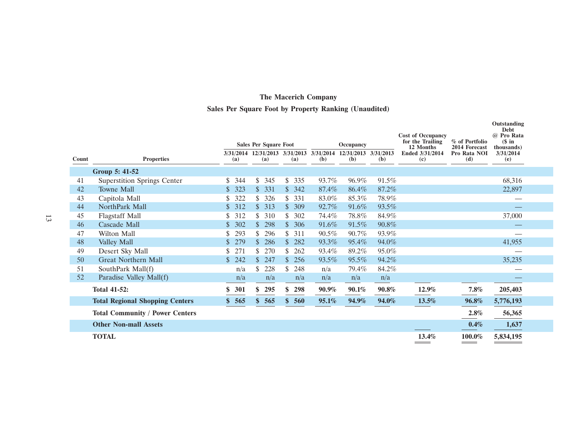# **Sales Per Square Foot by Property Ranking (Unaudited)**

|       |                                        |                     | <b>Sales Per Square Foot</b> |                     |       | Occupancy                                                  |              | <b>Cost of Occupancy</b><br>for the Trailing | % of Portfolio                       | Outstanding<br>Debt<br>@ Pro Rata<br>$$$ in |  |
|-------|----------------------------------------|---------------------|------------------------------|---------------------|-------|------------------------------------------------------------|--------------|----------------------------------------------|--------------------------------------|---------------------------------------------|--|
| Count | <b>Properties</b>                      | 3/31/2014<br>(a)    | (a)                          | (a)                 | (b)   | 12/31/2013 3/31/2013 3/31/2014 12/31/2013 3/31/2013<br>(b) | ( <b>b</b> ) | 12 Months<br>Ended 3/31/2014<br>(c)          | 2014 Forecast<br>Pro Rata NOI<br>(d) | (thousands)<br>3/31/2014<br>(e)             |  |
|       | Group 5: 41-52                         |                     |                              |                     |       |                                                            |              |                                              |                                      |                                             |  |
| 41    | Superstition Springs Center            | \$.<br>344          | \$345                        | 335<br>S.           | 93.7% | 96.9%                                                      | 91.5%        |                                              |                                      | 68,316                                      |  |
| 42    | <b>Towne Mall</b>                      | 323                 | 331<br>$\mathcal{S}$         | \$<br>342           | 87.4% | 86.4%                                                      | 87.2%        |                                              |                                      | 22,897                                      |  |
| 43    | Capitola Mall                          | 322<br>\$           | 326<br>S.                    | S.<br>331           | 83.0% | 85.3%                                                      | 78.9%        |                                              |                                      |                                             |  |
| 44    | NorthPark Mall                         | 312<br>\$           | \$313                        | $\mathbb{S}$<br>309 | 92.7% | 91.6%                                                      | 93.5%        |                                              |                                      |                                             |  |
| 45    | <b>Flagstaff Mall</b>                  | 312<br>\$           | \$310                        | 302<br>S.           | 74.4% | 78.8%                                                      | 84.9%        |                                              |                                      | 37,000                                      |  |
| 46    | Cascade Mall                           | 302<br>\$           | \$298                        | $\mathbb{S}$<br>306 | 91.6% | 91.5%                                                      | 90.8%        |                                              |                                      |                                             |  |
| 47    | Wilton Mall                            | 293<br>S.           | 296<br>S.                    | 311<br>S.           | 90.5% | 90.7%                                                      | 93.9%        |                                              |                                      |                                             |  |
| 48    | Valley Mall                            | 279<br>$\mathbb{S}$ | \$286                        | $\mathbb{S}$<br>282 | 93.3% | 95.4%                                                      | 94.0%        |                                              |                                      | 41,955                                      |  |
| 49    | Desert Sky Mall                        | 271<br>S.           | 270                          | 262<br>\$           | 93.4% | 89.2%                                                      | 95.0%        |                                              |                                      |                                             |  |
| 50    | <b>Great Northern Mall</b>             | \$242               | 247<br>$\mathbb{S}$          | $\mathbb{S}$<br>256 | 93.5% | 95.5%                                                      | 94.2%        |                                              |                                      | 35,235                                      |  |
| 51    | SouthPark Mall(f)                      | n/a                 | 228                          | \$<br>248           | n/a   | 79.4%                                                      | 84.2%        |                                              |                                      |                                             |  |
| 52    | Paradise Valley Mall(f)                | n/a                 | n/a                          | n/a                 | n/a   | n/a                                                        | n/a          |                                              |                                      |                                             |  |
|       | <b>Total 41-52:</b>                    | 301<br>\$           | 295                          | \$<br>298           | 90.9% | $90.1\%$                                                   | 90.8%        | 12.9%                                        | 7.8%                                 | 205,403                                     |  |
|       | <b>Total Regional Shopping Centers</b> | \$565               | \$565                        | \$<br>560           | 95.1% | 94.9%                                                      | 94.0%        | 13.5%                                        | 96.8%                                | 5,776,193                                   |  |
|       | <b>Total Community / Power Centers</b> |                     |                              |                     |       |                                                            |              |                                              | 2.8%                                 | 56,365                                      |  |
|       | <b>Other Non-mall Assets</b>           |                     |                              |                     |       |                                                            |              |                                              | 0.4%                                 | 1,637                                       |  |
|       | <b>TOTAL</b>                           |                     |                              |                     |       |                                                            |              | 13.4%                                        | 100.0%<br>$\overline{\phantom{a}}$   | 5,834,195                                   |  |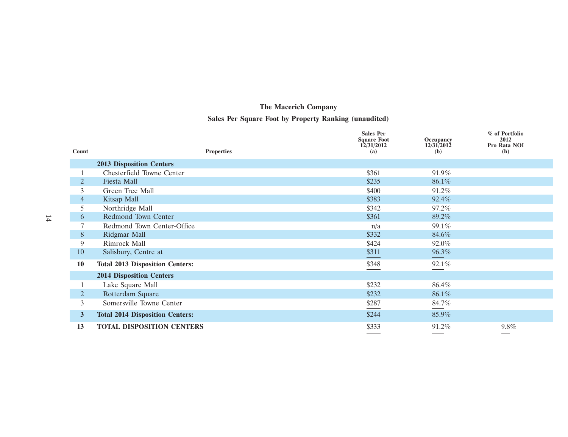## **Sales Per Square Foot by Property Ranking (unaudited)**

|                |                                        | <b>Sales Per</b><br><b>Square Foot</b> | Occupancy         | % of Portfolio<br>2012 |
|----------------|----------------------------------------|----------------------------------------|-------------------|------------------------|
| Count          | <b>Properties</b>                      | 12/31/2012<br>(a)                      | 12/31/2012<br>(b) | Pro Rata NOI<br>(h)    |
|                | <b>2013 Disposition Centers</b>        |                                        |                   |                        |
|                | Chesterfield Towne Center              | \$361                                  | 91.9%             |                        |
| 2              | <b>Fiesta Mall</b>                     | \$235                                  | 86.1%             |                        |
| 3              | Green Tree Mall                        | \$400                                  | 91.2%             |                        |
| 4              | Kitsap Mall                            | \$383                                  | 92.4%             |                        |
| 5              | Northridge Mall                        | \$342                                  | 97.2%             |                        |
| 6              | Redmond Town Center                    | \$361                                  | 89.2%             |                        |
|                | Redmond Town Center-Office             | n/a                                    | 99.1%             |                        |
| 8              | Ridgmar Mall                           | \$332                                  | 84.6%             |                        |
| 9              | Rimrock Mall                           | \$424                                  | 92.0%             |                        |
| 10             | Salisbury, Centre at                   | \$311                                  | 96.3%             |                        |
| 10             | <b>Total 2013 Disposition Centers:</b> | \$348                                  | 92.1%             |                        |
|                | <b>2014 Disposition Centers</b>        |                                        |                   |                        |
|                | Lake Square Mall                       | \$232                                  | 86.4%             |                        |
| 2              | Rotterdam Square                       | \$232                                  | 86.1%             |                        |
| 3              | Somersville Towne Center               | \$287                                  | 84.7%             |                        |
| 3 <sup>1</sup> | <b>Total 2014 Disposition Centers:</b> | \$244                                  | 85.9%             |                        |
| 13             | <b>TOTAL DISPOSITION CENTERS</b>       | \$333                                  | 91.2%             | $9.8\%$                |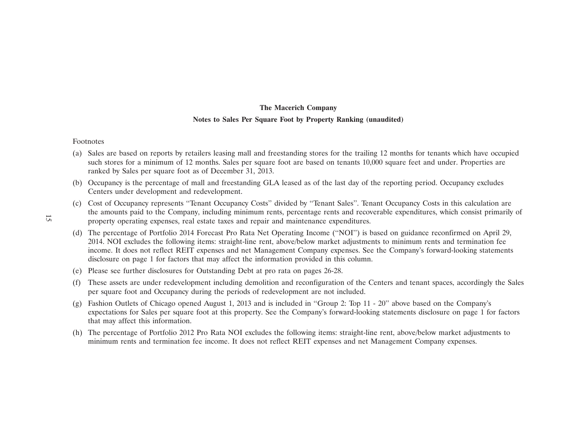# **The Macerich Company Notes to Sales Per Square Foot by Property Ranking (unaudited)**

#### Footnotes

- (a) Sales are based on reports by retailers leasing mall and freestanding stores for the trailing 12 months for tenants which have occupied such stores for a minimum of 12 months. Sales per square foot are based on tenants 10,000 square feet and under. Properties are ranked by Sales per square foot as of December 31, 2013.
- (b) Occupancy is the percentage of mall and freestanding GLA leased as of the last day of the reporting period. Occupancy excludes Centers under development and redevelopment.
- (c) Cost of Occupancy represents ''Tenant Occupancy Costs'' divided by ''Tenant Sales''. Tenant Occupancy Costs in this calculation are the amounts paid to the Company, including minimum rents, percentage rents and recoverable expenditures, which consist primarily of property operating expenses, real estate taxes and repair and maintenance expenditures.
- (d) The percentage of Portfolio 2014 Forecast Pro Rata Net Operating Income (''NOI'') is based on guidance reconfirmed on April 29, 2014. NOI excludes the following items: straight-line rent, above/below market adjustments to minimum rents and termination fee income. It does not reflect REIT expenses and net Management Company expenses. See the Company's forward-looking statements disclosure on page 1 for factors that may affect the information provided in this column.
- (e) Please see further disclosures for Outstanding Debt at pro rata on pages 26-28.
- (f) These assets are under redevelopment including demolition and reconfiguration of the Centers and tenant spaces, accordingly the Sales per square foot and Occupancy during the periods of redevelopment are not included.
- (g) Fashion Outlets of Chicago opened August 1, 2013 and is included in ''Group 2: Top 11 20'' above based on the Company's expectations for Sales per square foot at this property. See the Company's forward-looking statements disclosure on page 1 for factors that may affect this information.
- (h) The percentage of Portfolio 2012 Pro Rata NOI excludes the following items: straight-line rent, above/below market adjustments to minimum rents and termination fee income. It does not reflect REIT expenses and net Management Company expenses.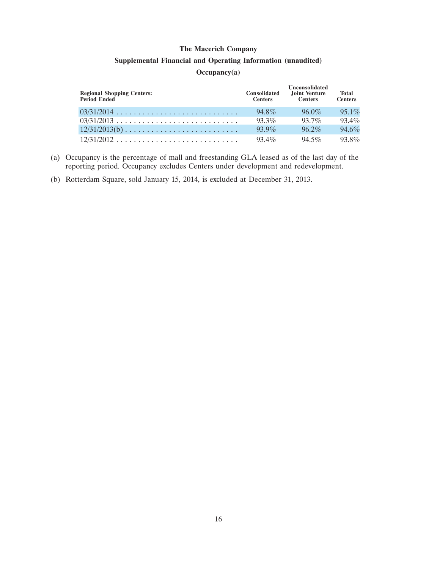#### **Supplemental Financial and Operating Information (unaudited)**

### **Occupancy(a)**

| <b>Regional Shopping Centers:</b><br>Period Ended | <b>Consolidated</b><br><b>Centers</b> | <b>Unconsolidated</b><br>Joint Venture<br><b>Centers</b> | <b>Total</b><br><b>Centers</b> |
|---------------------------------------------------|---------------------------------------|----------------------------------------------------------|--------------------------------|
|                                                   | 94.8%                                 | $96.0\%$                                                 | $95.1\%$                       |
|                                                   | $93.3\%$                              | $937\%$                                                  | $93.4\%$                       |
| $12/31/2013(b)$                                   | $939\%$                               | $96.2\%$                                                 | 94.6%                          |
| $12/31/2012$                                      | $93.4\%$                              | $94.5\%$                                                 | $93.8\%$                       |

<sup>(</sup>a) Occupancy is the percentage of mall and freestanding GLA leased as of the last day of the reporting period. Occupancy excludes Centers under development and redevelopment.

(b) Rotterdam Square, sold January 15, 2014, is excluded at December 31, 2013.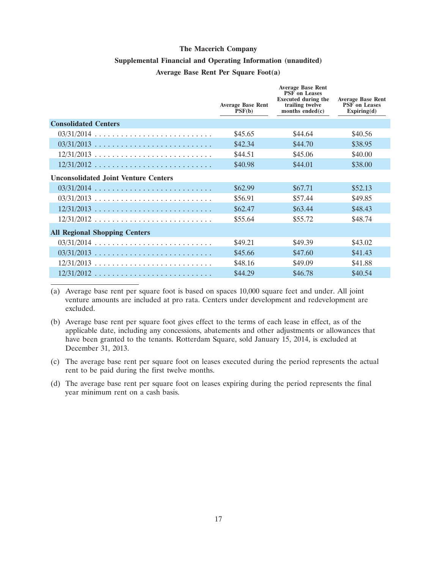### **Supplemental Financial and Operating Information (unaudited)**

### **Average Base Rent Per Square Foot(a)**

|                                             | <b>Average Base Rent</b><br>PSF(b) | <b>Average Base Rent</b><br><b>PSF</b> on Leases<br><b>Executed during the</b><br>trailing twelve<br>months ended $(c)$ | <b>Average Base Rent</b><br><b>PSF</b> on Leases<br>Expiring(d) |
|---------------------------------------------|------------------------------------|-------------------------------------------------------------------------------------------------------------------------|-----------------------------------------------------------------|
| <b>Consolidated Centers</b>                 |                                    |                                                                                                                         |                                                                 |
|                                             | \$45.65                            | \$44.64                                                                                                                 | \$40.56                                                         |
|                                             | \$42.34                            | \$44.70                                                                                                                 | \$38.95                                                         |
| $12/31/2013$                                | \$44.51                            | \$45.06                                                                                                                 | \$40.00                                                         |
| $12/31/2012$                                | \$40.98                            | \$44.01                                                                                                                 | \$38.00                                                         |
| <b>Unconsolidated Joint Venture Centers</b> |                                    |                                                                                                                         |                                                                 |
|                                             | \$62.99                            | \$67.71                                                                                                                 | \$52.13                                                         |
| $03/31/2013$                                | \$56.91                            | \$57.44                                                                                                                 | \$49.85                                                         |
| $12/31/2013$                                | \$62.47                            | \$63.44                                                                                                                 | \$48.43                                                         |
| $12/31/2012$                                | \$55.64                            | \$55.72                                                                                                                 | \$48.74                                                         |
| <b>All Regional Shopping Centers</b>        |                                    |                                                                                                                         |                                                                 |
| $03/31/2014$                                | \$49.21                            | \$49.39                                                                                                                 | \$43.02                                                         |
| $03/31/2013$                                | \$45.66                            | \$47.60                                                                                                                 | \$41.43                                                         |
| $12/31/2013$                                | \$48.16                            | \$49.09                                                                                                                 | \$41.88                                                         |
| $12/31/2012$                                | \$44.29                            | \$46.78                                                                                                                 | \$40.54                                                         |

(a) Average base rent per square foot is based on spaces 10,000 square feet and under. All joint venture amounts are included at pro rata. Centers under development and redevelopment are excluded.

(b) Average base rent per square foot gives effect to the terms of each lease in effect, as of the applicable date, including any concessions, abatements and other adjustments or allowances that have been granted to the tenants. Rotterdam Square, sold January 15, 2014, is excluded at December 31, 2013.

(c) The average base rent per square foot on leases executed during the period represents the actual rent to be paid during the first twelve months.

(d) The average base rent per square foot on leases expiring during the period represents the final year minimum rent on a cash basis.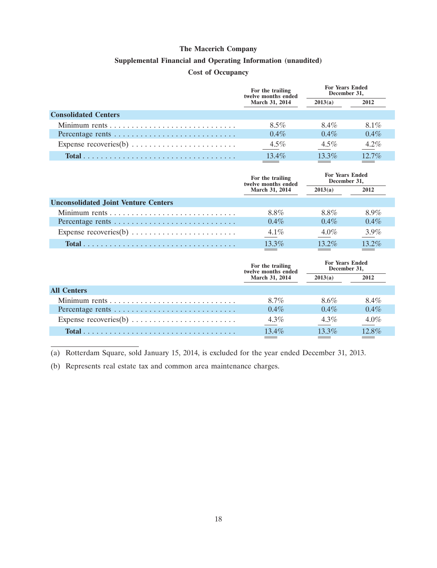#### **Supplemental Financial and Operating Information (unaudited)**

### **Cost of Occupancy**

|                                                                         | For the trailing<br>twelve months ended | <b>For Years Ended</b><br>December 31, |          |
|-------------------------------------------------------------------------|-----------------------------------------|----------------------------------------|----------|
|                                                                         | March 31, 2014                          | 2013(a)                                | 2012     |
| <b>Consolidated Centers</b>                                             |                                         |                                        |          |
|                                                                         | $8.5\%$                                 | 8.4%                                   | $8.1\%$  |
| Percentage rents                                                        | $0.4\%$                                 | $0.4\%$                                | $0.4\%$  |
| Expense recoveries(b) $\dots \dots \dots \dots \dots \dots \dots \dots$ | $4.5\%$                                 | $4.5\%$                                | $4.2\%$  |
|                                                                         | $13.4\%$                                | $13.3\%$                               | $12.7\%$ |

|                                             | For the trailing<br>twelve months ended | <b>For Years Ended</b><br>December 31, |         |
|---------------------------------------------|-----------------------------------------|----------------------------------------|---------|
|                                             | <b>March 31, 2014</b>                   | 2013(a)                                | 2012    |
| <b>Unconsolidated Joint Venture Centers</b> |                                         |                                        |         |
|                                             | 8.8%                                    | 8.8%                                   | $8.9\%$ |
| Percentage rents                            | $0.4\%$                                 | $0.4\%$                                | $0.4\%$ |
|                                             | $4.1\%$                                 | $4.0\%$                                | $3.9\%$ |
|                                             | $13.3\%$                                | $13.2\%$                               | 132%    |

|                    | For the trailing<br>twelve months ended | <b>For Years Ended</b><br>December 31, |         |
|--------------------|-----------------------------------------|----------------------------------------|---------|
|                    | March 31, 2014                          | 2013(a)                                | 2012    |
| <b>All Centers</b> |                                         |                                        |         |
|                    | 8.7%                                    | $8.6\%$                                | 8.4%    |
|                    | $0.4\%$                                 | $0.4\%$                                | $0.4\%$ |
|                    | $4.3\%$                                 | $4.3\%$                                | 4.0%    |
|                    | 13.4%                                   | 13.3%                                  | 12.8%   |
|                    |                                         |                                        |         |

(a) Rotterdam Square, sold January 15, 2014, is excluded for the year ended December 31, 2013.

(b) Represents real estate tax and common area maintenance charges.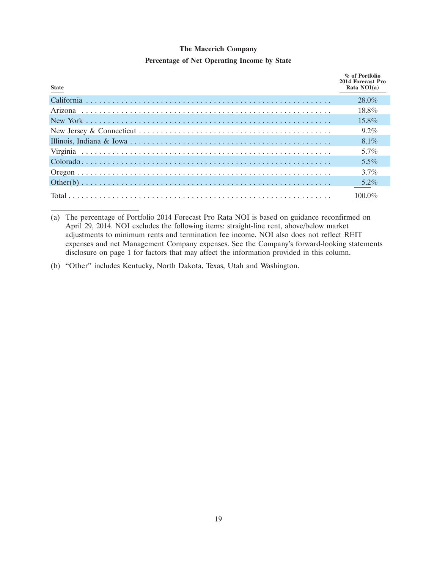### **Percentage of Net Operating Income by State**

| <b>State</b> | % of Portfolio<br>2014 Forecast Pro<br>Rata NOI(a) |
|--------------|----------------------------------------------------|
|              | $28.0\%$                                           |
|              | 18.8%                                              |
|              | $15.8\%$                                           |
|              | $9.2\%$                                            |
|              | $8.1\%$                                            |
|              | $5.7\%$                                            |
|              | $5.5\%$                                            |
|              | $3.7\%$                                            |
|              | $5.2\%$                                            |
|              | 100 $0\%$                                          |

(a) The percentage of Portfolio 2014 Forecast Pro Rata NOI is based on guidance reconfirmed on April 29, 2014. NOI excludes the following items: straight-line rent, above/below market adjustments to minimum rents and termination fee income. NOI also does not reflect REIT expenses and net Management Company expenses. See the Company's forward-looking statements disclosure on page 1 for factors that may affect the information provided in this column.

(b) ''Other'' includes Kentucky, North Dakota, Texas, Utah and Washington.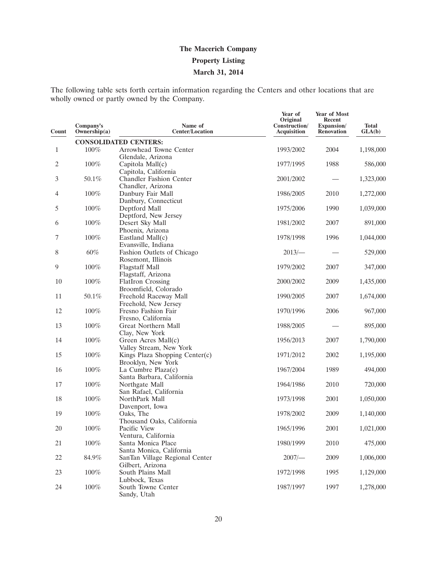# **The Macerich Company Property Listing March 31, 2014**

The following table sets forth certain information regarding the Centers and other locations that are wholly owned or partly owned by the Company.

| Count        | Company's<br>Ownership(a) | Name of<br><b>Center/Location</b>         | Year of<br>Original<br>Construction/<br>Acquisition | Year of Most<br>Recent<br>Expansion/<br><b>Renovation</b> | <b>Total</b><br>GLA(b) |
|--------------|---------------------------|-------------------------------------------|-----------------------------------------------------|-----------------------------------------------------------|------------------------|
|              |                           | <b>CONSOLIDATED CENTERS:</b>              |                                                     |                                                           |                        |
| $\mathbf{1}$ | 100%                      | Arrowhead Towne Center                    | 1993/2002                                           | 2004                                                      | 1,198,000              |
|              |                           | Glendale, Arizona                         |                                                     |                                                           |                        |
| 2            | 100%                      | Capitola Mall(c)                          | 1977/1995                                           | 1988                                                      | 586,000                |
|              |                           | Capitola, California                      |                                                     |                                                           |                        |
| 3            | 50.1%                     | <b>Chandler Fashion Center</b>            | 2001/2002                                           |                                                           | 1,323,000              |
|              |                           | Chandler, Arizona                         |                                                     |                                                           |                        |
| 4            | 100%                      | Danbury Fair Mall                         | 1986/2005                                           | 2010                                                      | 1,272,000              |
| 5            | 100%                      | Danbury, Connecticut<br>Deptford Mall     | 1975/2006                                           | 1990                                                      | 1,039,000              |
|              |                           | Deptford, New Jersey                      |                                                     |                                                           |                        |
| 6            | 100%                      | Desert Sky Mall                           | 1981/2002                                           | 2007                                                      | 891,000                |
|              |                           | Phoenix, Arizona                          |                                                     |                                                           |                        |
| 7            | 100%                      | Eastland Mall(c)                          | 1978/1998                                           | 1996                                                      | 1,044,000              |
|              |                           | Evansville, Indiana                       |                                                     |                                                           |                        |
| 8            | 60%                       | Fashion Outlets of Chicago                | $2013/-$                                            |                                                           | 529,000                |
|              |                           | Rosemont, Illinois                        |                                                     |                                                           |                        |
| 9            | 100%                      | <b>Flagstaff Mall</b>                     | 1979/2002                                           | 2007                                                      | 347,000                |
|              |                           | Flagstaff, Arizona                        |                                                     |                                                           |                        |
| 10           | 100%                      | <b>FlatIron Crossing</b>                  | 2000/2002                                           | 2009                                                      | 1,435,000              |
|              |                           | Broomfield, Colorado                      |                                                     |                                                           |                        |
| 11           | 50.1%                     | Freehold Raceway Mall                     | 1990/2005                                           | 2007                                                      | 1,674,000              |
|              |                           | Freehold, New Jersey                      |                                                     |                                                           |                        |
| 12           | 100%                      | Fresno Fashion Fair                       | 1970/1996                                           | 2006                                                      | 967,000                |
| 13           | 100%                      | Fresno, California<br>Great Northern Mall | 1988/2005                                           |                                                           | 895,000                |
|              |                           | Clay, New York                            |                                                     |                                                           |                        |
| 14           | 100%                      | Green Acres Mall(c)                       | 1956/2013                                           | 2007                                                      | 1,790,000              |
|              |                           | Valley Stream, New York                   |                                                     |                                                           |                        |
| 15           | 100%                      | Kings Plaza Shopping Center $(c)$         | 1971/2012                                           | 2002                                                      | 1,195,000              |
|              |                           | Brooklyn, New York                        |                                                     |                                                           |                        |
| 16           | 100%                      | La Cumbre Plaza $(c)$                     | 1967/2004                                           | 1989                                                      | 494,000                |
|              |                           | Santa Barbara, California                 |                                                     |                                                           |                        |
| 17           | 100%                      | Northgate Mall                            | 1964/1986                                           | 2010                                                      | 720,000                |
|              |                           | San Rafael, California                    |                                                     |                                                           |                        |
| 18           | $100\%$                   | NorthPark Mall                            | 1973/1998                                           | 2001                                                      | 1,050,000              |
|              |                           | Davenport, Iowa                           |                                                     |                                                           |                        |
| 19           | 100%                      | Oaks, The                                 | 1978/2002                                           | 2009                                                      | 1,140,000              |
| 20           | 100%                      | Thousand Oaks, California<br>Pacific View | 1965/1996                                           | 2001                                                      | 1,021,000              |
|              |                           | Ventura, California                       |                                                     |                                                           |                        |
| 21           | $100\%$                   | Santa Monica Place                        | 1980/1999                                           | 2010                                                      | 475,000                |
|              |                           | Santa Monica, California                  |                                                     |                                                           |                        |
| 22           | 84.9%                     | SanTan Village Regional Center            | $2007$ /-                                           | 2009                                                      | 1,006,000              |
|              |                           | Gilbert, Arizona                          |                                                     |                                                           |                        |
| 23           | 100%                      | South Plains Mall                         | 1972/1998                                           | 1995                                                      | 1,129,000              |
|              |                           | Lubbock, Texas                            |                                                     |                                                           |                        |
| 24           | $100\%$                   | South Towne Center                        | 1987/1997                                           | 1997                                                      | 1,278,000              |
|              |                           | Sandy, Utah                               |                                                     |                                                           |                        |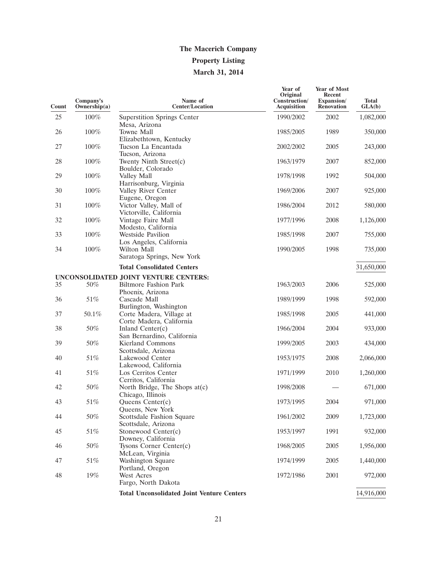# **The Macerich Company Property Listing March 31, 2014**

| Company's<br>Ownership(a) | Name of<br><b>Center/Location</b>                 | Year of<br>Original<br>Construction/<br><b>Acquisition</b>                                                                                                                                                                                                                                                                                                                                                                                                                                                                                                                | Year of Most<br>Recent<br>Expansion/<br>Renovation | <b>Total</b><br>GLA(b) |
|---------------------------|---------------------------------------------------|---------------------------------------------------------------------------------------------------------------------------------------------------------------------------------------------------------------------------------------------------------------------------------------------------------------------------------------------------------------------------------------------------------------------------------------------------------------------------------------------------------------------------------------------------------------------------|----------------------------------------------------|------------------------|
|                           |                                                   |                                                                                                                                                                                                                                                                                                                                                                                                                                                                                                                                                                           |                                                    | 1,082,000              |
| 100%                      | Mesa, Arizona<br><b>Towne Mall</b>                |                                                                                                                                                                                                                                                                                                                                                                                                                                                                                                                                                                           |                                                    | 350,000                |
|                           | Elizabethtown, Kentucky                           |                                                                                                                                                                                                                                                                                                                                                                                                                                                                                                                                                                           |                                                    |                        |
|                           | Tucson, Arizona                                   |                                                                                                                                                                                                                                                                                                                                                                                                                                                                                                                                                                           |                                                    | 243,000                |
| $100\%$                   | Twenty Ninth Street(c)<br>Boulder, Colorado       | 1963/1979                                                                                                                                                                                                                                                                                                                                                                                                                                                                                                                                                                 | 2007                                               | 852,000                |
| 100%                      | Valley Mall                                       | 1978/1998                                                                                                                                                                                                                                                                                                                                                                                                                                                                                                                                                                 | 1992                                               | 504,000                |
| 100%                      | Valley River Center                               | 1969/2006                                                                                                                                                                                                                                                                                                                                                                                                                                                                                                                                                                 | 2007                                               | 925,000                |
| $100\%$                   | Victor Valley, Mall of                            | 1986/2004                                                                                                                                                                                                                                                                                                                                                                                                                                                                                                                                                                 | 2012                                               | 580,000                |
| 100%                      | Vintage Faire Mall                                | 1977/1996                                                                                                                                                                                                                                                                                                                                                                                                                                                                                                                                                                 | 2008                                               | 1,126,000              |
| 100%                      | <b>Westside Pavilion</b>                          | 1985/1998                                                                                                                                                                                                                                                                                                                                                                                                                                                                                                                                                                 | 2007                                               | 755,000                |
| $100\%$                   | Wilton Mall                                       | 1990/2005                                                                                                                                                                                                                                                                                                                                                                                                                                                                                                                                                                 | 1998                                               | 735,000                |
|                           | <b>Total Consolidated Centers</b>                 |                                                                                                                                                                                                                                                                                                                                                                                                                                                                                                                                                                           |                                                    | 31,650,000             |
|                           |                                                   |                                                                                                                                                                                                                                                                                                                                                                                                                                                                                                                                                                           |                                                    |                        |
| 50%                       | <b>Biltmore Fashion Park</b><br>Phoenix, Arizona  | 1963/2003                                                                                                                                                                                                                                                                                                                                                                                                                                                                                                                                                                 | 2006                                               | 525,000                |
| 51%                       | Cascade Mall                                      | 1989/1999                                                                                                                                                                                                                                                                                                                                                                                                                                                                                                                                                                 | 1998                                               | 592,000                |
| 50.1%                     | Corte Madera, Village at                          | 1985/1998                                                                                                                                                                                                                                                                                                                                                                                                                                                                                                                                                                 | 2005                                               | 441,000                |
| 50%                       | Inland Center(c)                                  | 1966/2004                                                                                                                                                                                                                                                                                                                                                                                                                                                                                                                                                                 | 2004                                               | 933,000                |
| 50%                       | <b>Kierland Commons</b>                           | 1999/2005                                                                                                                                                                                                                                                                                                                                                                                                                                                                                                                                                                 | 2003                                               | 434,000                |
| 51%                       | Lakewood Center                                   | 1953/1975                                                                                                                                                                                                                                                                                                                                                                                                                                                                                                                                                                 | 2008                                               | 2,066,000              |
| 51%                       | Los Cerritos Center                               | 1971/1999                                                                                                                                                                                                                                                                                                                                                                                                                                                                                                                                                                 | 2010                                               | 1,260,000              |
| 50%                       | North Bridge, The Shops at(c)                     | 1998/2008                                                                                                                                                                                                                                                                                                                                                                                                                                                                                                                                                                 |                                                    | 671,000                |
| 51%                       | Queens Center(c)                                  | 1973/1995                                                                                                                                                                                                                                                                                                                                                                                                                                                                                                                                                                 | 2004                                               | 971,000                |
| $50\%$                    | Scottsdale Fashion Square                         | 1961/2002                                                                                                                                                                                                                                                                                                                                                                                                                                                                                                                                                                 | 2009                                               | 1,723,000              |
| $51\%$                    | Stonewood Center(c)                               | 1953/1997                                                                                                                                                                                                                                                                                                                                                                                                                                                                                                                                                                 | 1991                                               | 932,000                |
| $50\%$                    | Tysons Corner Center $(c)$                        | 1968/2005                                                                                                                                                                                                                                                                                                                                                                                                                                                                                                                                                                 | 2005                                               | 1,956,000              |
| 51%                       | Washington Square                                 | 1974/1999                                                                                                                                                                                                                                                                                                                                                                                                                                                                                                                                                                 | 2005                                               | 1,440,000              |
| $19\%$                    | <b>West Acres</b>                                 | 1972/1986                                                                                                                                                                                                                                                                                                                                                                                                                                                                                                                                                                 | 2001                                               | 972,000                |
|                           | <b>Total Unconsolidated Joint Venture Centers</b> |                                                                                                                                                                                                                                                                                                                                                                                                                                                                                                                                                                           |                                                    | 14,916,000             |
|                           | 100%<br>100%                                      | <b>Superstition Springs Center</b><br>Tucson La Encantada<br>Harrisonburg, Virginia<br>Eugene, Oregon<br>Victorville, California<br>Modesto, California<br>Los Angeles, California<br>Saratoga Springs, New York<br>UNCONSOLIDATED JOINT VENTURE CENTERS:<br>Burlington, Washington<br>Corte Madera, California<br>San Bernardino, California<br>Scottsdale, Arizona<br>Lakewood, California<br>Cerritos, California<br>Chicago, Illinois<br>Queens, New York<br>Scottsdale, Arizona<br>Downey, California<br>McLean, Virginia<br>Portland, Oregon<br>Fargo, North Dakota | 1990/2002<br>1985/2005<br>2002/2002                | 2002<br>1989<br>2005   |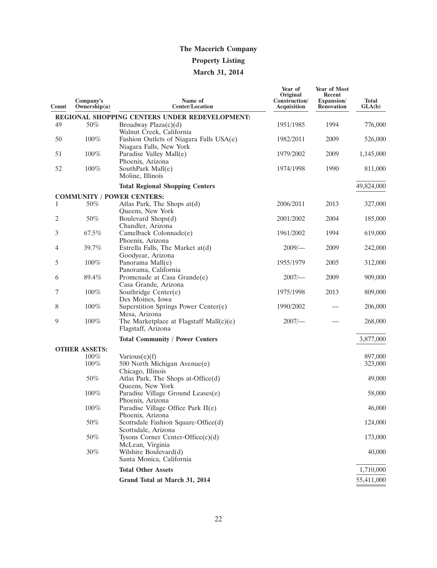## **Property Listing**

# **March 31, 2014**

| Count | Company's<br>Ownership $(a)$ | Name of<br><b>Center/Location</b>                                  | Year of<br>Original<br>Construction/<br><b>Acquisition</b> | Year of Most<br>Recent<br>Expansion/<br><b>Renovation</b> | <b>Total</b><br>GLA(b) |
|-------|------------------------------|--------------------------------------------------------------------|------------------------------------------------------------|-----------------------------------------------------------|------------------------|
|       |                              | REGIONAL SHOPPING CENTERS UNDER REDEVELOPMENT:                     |                                                            |                                                           |                        |
| 49    | 50%                          | Broadway Plaza(c)(d)<br>Walnut Creek, California                   | 1951/1985                                                  | 1994                                                      | 776,000                |
| 50    | 100%                         | Fashion Outlets of Niagara Falls USA(e)<br>Niagara Falls, New York | 1982/2011                                                  | 2009                                                      | 526,000                |
| 51    | 100%                         | Paradise Valley Mall(e)<br>Phoenix, Arizona                        | 1979/2002                                                  | 2009                                                      | 1,145,000              |
| 52    | 100%                         | SouthPark Mall(e)<br>Moline, Illinois                              | 1974/1998                                                  | 1990                                                      | 811,000                |
|       |                              | <b>Total Regional Shopping Centers</b>                             |                                                            |                                                           | 49,824,000             |
|       |                              | <b>COMMUNITY / POWER CENTERS:</b>                                  |                                                            |                                                           |                        |
| 1     | 50%                          | Atlas Park, The Shops at(d)<br>Queens, New York                    | 2006/2011                                                  | 2013                                                      | 327,000                |
| 2     | 50%                          | Boulevard Shops(d)<br>Chandler, Arizona                            | 2001/2002                                                  | 2004                                                      | 185,000                |
| 3     | 67.5%                        | Camelback Colonnade(e)<br>Phoenix, Arizona                         | 1961/2002                                                  | 1994                                                      | 619,000                |
| 4     | 39.7%                        | Estrella Falls, The Market at(d)<br>Goodyear, Arizona              | $2009$ /-                                                  | 2009                                                      | 242,000                |
| 5     | 100%                         | Panorama Mall(e)<br>Panorama, California                           | 1955/1979                                                  | 2005                                                      | 312,000                |
| 6     | 89.4%                        | Promenade at Casa Grande(e)<br>Casa Grande, Arizona                | $2007$ /-                                                  | 2009                                                      | 909,000                |
| 7     | 100%                         | Southridge Center(e)<br>Des Moines, Iowa                           | 1975/1998                                                  | 2013                                                      | 809,000                |
| 8     | $100\%$                      | Superstition Springs Power Center(e)<br>Mesa, Arizona              | 1990/2002                                                  |                                                           | 206,000                |
| 9     | 100%                         | The Marketplace at Flagstaff Mall $(c)(e)$<br>Flagstaff, Arizona   | 2007/                                                      |                                                           | 268,000                |
|       |                              | <b>Total Community / Power Centers</b>                             |                                                            |                                                           | 3,877,000              |
|       | <b>OTHER ASSETS:</b>         |                                                                    |                                                            |                                                           |                        |
|       | 100%                         | $\text{Various}(e)(f)$                                             |                                                            |                                                           | 897,000                |
|       | 100%                         | 500 North Michigan Avenue(e)<br>Chicago, Illinois                  |                                                            |                                                           | 323,000                |
|       | 50%                          | Atlas Park, The Shops at-Office(d)<br>Queens, New York             |                                                            |                                                           | 49,000                 |
|       | $100\%$                      | Paradise Village Ground Leases(e)<br>Phoenix, Arizona              |                                                            |                                                           | 58,000                 |
|       | 100%                         | Paradise Village Office Park II(e)<br>Phoenix, Arizona             |                                                            |                                                           | 46,000                 |
|       | 50%                          | Scottsdale Fashion Square-Office(d)<br>Scottsdale, Arizona         |                                                            |                                                           | 124,000                |
|       | 50%                          | Tysons Corner Center-Office $(c)(d)$<br>McLean, Virginia           |                                                            |                                                           | 173,000                |
|       | $30\%$                       | Wilshire Boulevard(d)<br>Santa Monica, California                  |                                                            |                                                           | 40,000                 |
|       |                              | <b>Total Other Assets</b>                                          |                                                            |                                                           | 1,710,000              |
|       |                              | Grand Total at March 31, 2014                                      |                                                            |                                                           | 55,411,000             |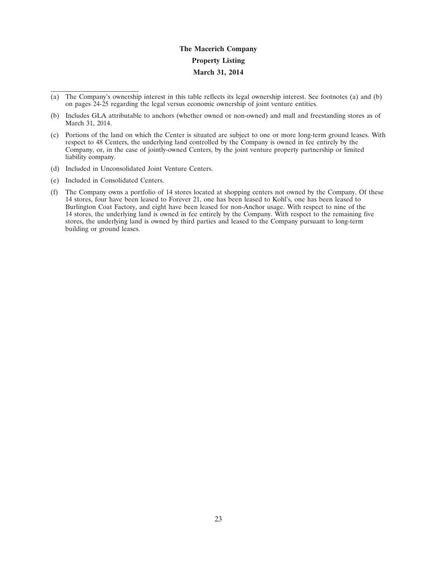# **The Macerich Company Property Listing March 31, 2014**

- (a) The Company's ownership interest in this table reflects its legal ownership interest. See footnotes (a) and (b) on pages 24-25 regarding the legal versus economic ownership of joint venture entities.
- (b) Includes GLA attributable to anchors (whether owned or non-owned) and mall and freestanding stores as of March 31, 2014.
- (c) Portions of the land on which the Center is situated are subject to one or more long-term ground leases. With respect to 48 Centers, the underlying land controlled by the Company is owned in fee entirely by the Company, or, in the case of jointly-owned Centers, by the joint venture property partnership or limited liability company.
- (d) Included in Unconsolidated Joint Venture Centers.
- (e) Included in Consolidated Centers.
- (f) The Company owns a portfolio of 14 stores located at shopping centers not owned by the Company. Of these 14 stores, four have been leased to Forever 21, one has been leased to Kohl's, one has been leased to Burlington Coat Factory, and eight have been leased for non-Anchor usage. With respect to nine of the 14 stores, the underlying land is owned in fee entirely by the Company. With respect to the remaining five stores, the underlying land is owned by third parties and leased to the Company pursuant to long-term building or ground leases.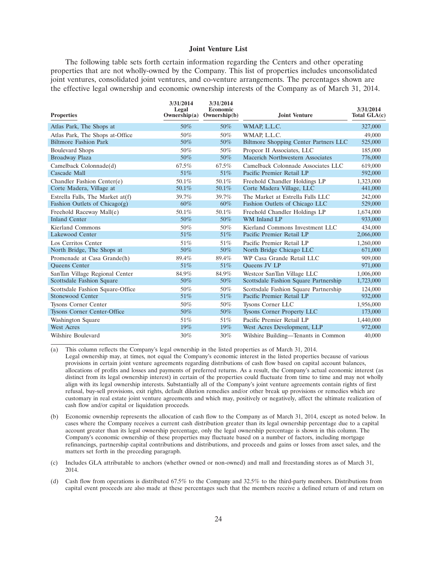#### **Joint Venture List**

The following table sets forth certain information regarding the Centers and other operating properties that are not wholly-owned by the Company. This list of properties includes unconsolidated joint ventures, consolidated joint ventures, and co-venture arrangements. The percentages shown are the effective legal ownership and economic ownership interests of the Company as of March 31, 2014.

| <b>Properties</b>                  | 3/31/2014<br>Legal<br>Ownership(a) | 3/31/2014<br>Economic<br>Ownership(b) | <b>Joint Venture</b>                         | 3/31/2014<br>Total GLA(c) |
|------------------------------------|------------------------------------|---------------------------------------|----------------------------------------------|---------------------------|
| Atlas Park, The Shops at           | 50%                                | 50%                                   | WMAP, L.L.C.                                 | 327,000                   |
| Atlas Park, The Shops at-Office    | 50%                                | 50%                                   | WMAP, L.L.C.                                 | 49,000                    |
| <b>Biltmore Fashion Park</b>       | 50%                                | 50%                                   | <b>Biltmore Shopping Center Partners LLC</b> | 525,000                   |
| <b>Boulevard Shops</b>             | 50%                                | 50%                                   | Propcor II Associates, LLC                   | 185,000                   |
| <b>Broadway Plaza</b>              | 50%                                | 50%                                   | Macerich Northwestern Associates             | 776,000                   |
| Camelback Colonnade(d)             | 67.5%                              | 67.5%                                 | Camelback Colonnade Associates LLC           | 619,000                   |
| Cascade Mall                       | 51%                                | 51\%                                  | Pacific Premier Retail LP                    | 592,000                   |
| Chandler Fashion Center(e)         | 50.1%                              | 50.1%                                 | Freehold Chandler Holdings LP                | 1,323,000                 |
| Corte Madera, Village at           | $50.1\%$                           | 50.1%                                 | Corte Madera Village, LLC                    | 441,000                   |
| Estrella Falls, The Market at(f)   | 39.7%                              | 39.7%                                 | The Market at Estrella Falls LLC             | 242,000                   |
| Fashion Outlets of Chicago $(g)$   | 60%                                | $60\%$                                | Fashion Outlets of Chicago LLC               | 529,000                   |
| Freehold Raceway Mall(e)           | 50.1%                              | 50.1%                                 | Freehold Chandler Holdings LP                | 1,674,000                 |
| <b>Inland Center</b>               | 50%                                | 50%                                   | WM Inland LP                                 | 933,000                   |
| Kierland Commons                   | 50%                                | 50%                                   | Kierland Commons Investment LLC              | 434,000                   |
| Lakewood Center                    | 51%                                | 51%                                   | Pacific Premier Retail LP                    | 2,066,000                 |
| Los Cerritos Center                | 51%                                | 51%                                   | Pacific Premier Retail LP                    | 1,260,000                 |
| North Bridge, The Shops at         | 50%                                | 50%                                   | North Bridge Chicago LLC                     | 671,000                   |
| Promenade at Casa Grande(h)        | 89.4%                              | 89.4%                                 | WP Casa Grande Retail LLC                    | 909,000                   |
| <b>Oueens</b> Center               | 51%                                | 51\%                                  | Oueens JV LP                                 | 971,000                   |
| SanTan Village Regional Center     | 84.9%                              | 84.9%                                 | Westcor SanTan Village LLC                   | 1,006,000                 |
| Scottsdale Fashion Square          | 50%                                | 50%                                   | Scottsdale Fashion Square Partnership        | 1,723,000                 |
| Scottsdale Fashion Square-Office   | 50%                                | 50%                                   | Scottsdale Fashion Square Partnership        | 124,000                   |
| Stonewood Center                   | 51%                                | 51%                                   | Pacific Premier Retail LP                    | 932,000                   |
| <b>Tysons Corner Center</b>        | 50%                                | 50%                                   | Tysons Corner LLC                            | 1,956,000                 |
| <b>Tysons Corner Center-Office</b> | 50%                                | 50%                                   | <b>Tysons Corner Property LLC</b>            | 173,000                   |
| Washington Square                  | 51%                                | 51%                                   | Pacific Premier Retail LP                    | 1,440,000                 |
| <b>West Acres</b>                  | 19%                                | $19\%$                                | West Acres Development, LLP                  | 972,000                   |
| Wilshire Boulevard                 | 30%                                | $30\%$                                | Wilshire Building—Tenants in Common          | 40,000                    |

(a) This column reflects the Company's legal ownership in the listed properties as of March 31, 2014. Legal ownership may, at times, not equal the Company's economic interest in the listed properties because of various provisions in certain joint venture agreements regarding distributions of cash flow based on capital account balances, allocations of profits and losses and payments of preferred returns. As a result, the Company's actual economic interest (as distinct from its legal ownership interest) in certain of the properties could fluctuate from time to time and may not wholly align with its legal ownership interests. Substantially all of the Company's joint venture agreements contain rights of first refusal, buy-sell provisions, exit rights, default dilution remedies and/or other break up provisions or remedies which are customary in real estate joint venture agreements and which may, positively or negatively, affect the ultimate realization of cash flow and/or capital or liquidation proceeds.

- (b) Economic ownership represents the allocation of cash flow to the Company as of March 31, 2014, except as noted below. In cases where the Company receives a current cash distribution greater than its legal ownership percentage due to a capital account greater than its legal ownership percentage, only the legal ownership percentage is shown in this column. The Company's economic ownership of these properties may fluctuate based on a number of factors, including mortgage refinancings, partnership capital contributions and distributions, and proceeds and gains or losses from asset sales, and the matters set forth in the preceding paragraph.
- (c) Includes GLA attributable to anchors (whether owned or non-owned) and mall and freestanding stores as of March 31, 2014.
- (d) Cash flow from operations is distributed 67.5% to the Company and 32.5% to the third-party members. Distributions from capital event proceeds are also made at these percentages such that the members receive a defined return of and return on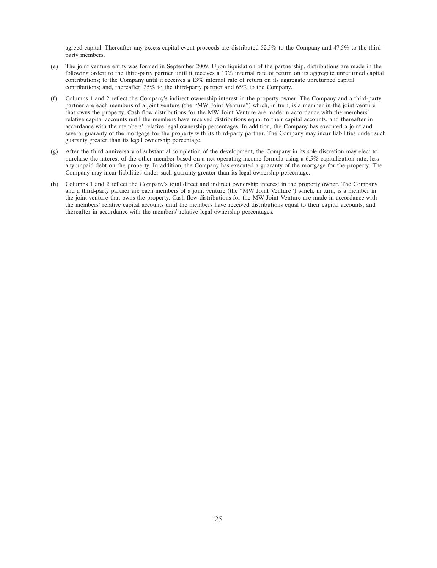agreed capital. Thereafter any excess capital event proceeds are distributed 52.5% to the Company and 47.5% to the thirdparty members.

- (e) The joint venture entity was formed in September 2009. Upon liquidation of the partnership, distributions are made in the following order: to the third-party partner until it receives a 13% internal rate of return on its aggregate unreturned capital contributions; to the Company until it receives a 13% internal rate of return on its aggregate unreturned capital contributions; and, thereafter, 35% to the third-party partner and 65% to the Company.
- (f) Columns 1 and 2 reflect the Company's indirect ownership interest in the property owner. The Company and a third-party partner are each members of a joint venture (the ''MW Joint Venture'') which, in turn, is a member in the joint venture that owns the property. Cash flow distributions for the MW Joint Venture are made in accordance with the members' relative capital accounts until the members have received distributions equal to their capital accounts, and thereafter in accordance with the members' relative legal ownership percentages. In addition, the Company has executed a joint and several guaranty of the mortgage for the property with its third-party partner. The Company may incur liabilities under such guaranty greater than its legal ownership percentage.
- (g) After the third anniversary of substantial completion of the development, the Company in its sole discretion may elect to purchase the interest of the other member based on a net operating income formula using a 6.5% capitalization rate, less any unpaid debt on the property. In addition, the Company has executed a guaranty of the mortgage for the property. The Company may incur liabilities under such guaranty greater than its legal ownership percentage.
- (h) Columns 1 and 2 reflect the Company's total direct and indirect ownership interest in the property owner. The Company and a third-party partner are each members of a joint venture (the ''MW Joint Venture'') which, in turn, is a member in the joint venture that owns the property. Cash flow distributions for the MW Joint Venture are made in accordance with the members' relative capital accounts until the members have received distributions equal to their capital accounts, and thereafter in accordance with the members' relative legal ownership percentages.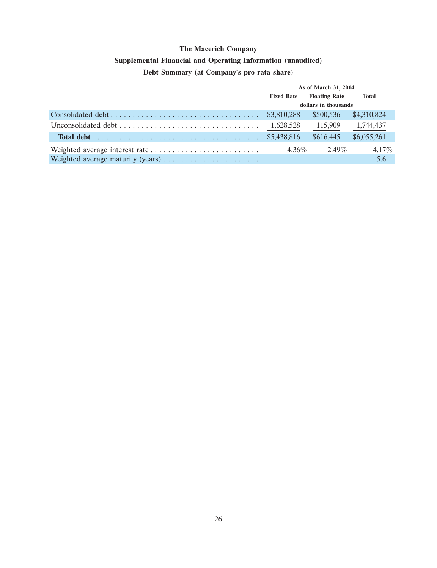## **Supplemental Financial and Operating Information (unaudited)**

# **Debt Summary (at Company's pro rata share)**

| As of March 31, 2014 |                      |             |  |
|----------------------|----------------------|-------------|--|
| <b>Fixed Rate</b>    | <b>Floating Rate</b> | Total       |  |
|                      | dollars in thousands |             |  |
|                      | \$500.536            | \$4,310,824 |  |
| 1,628,528            | 115,909              | 1,744,437   |  |
|                      | \$616,445            | \$6,055,261 |  |
| $4.36\%$             | $2.49\%$             | $4.17\%$    |  |
|                      |                      | 5.6         |  |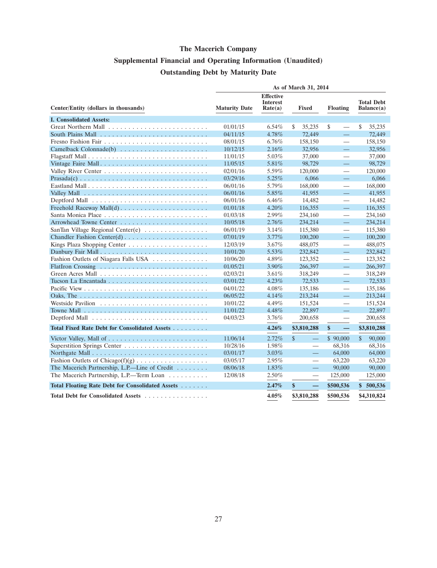# **Supplemental Financial and Operating Information (Unaudited) Outstanding Debt by Maturity Date**

|                                                                                                             | As of March 31, 2014 |                                                |                                   |                                  |                                 |
|-------------------------------------------------------------------------------------------------------------|----------------------|------------------------------------------------|-----------------------------------|----------------------------------|---------------------------------|
| Center/Entity (dollars in thousands)                                                                        | <b>Maturity Date</b> | <b>Effective</b><br><b>Interest</b><br>Rate(a) | <b>Fixed</b>                      | <b>Floating</b>                  | <b>Total Debt</b><br>Balance(a) |
| <b>I. Consolidated Assets:</b>                                                                              |                      |                                                |                                   |                                  |                                 |
|                                                                                                             | 01/01/15             | $6.54\%$                                       | 35,235<br>\$                      | \$                               | \$<br>35,235                    |
|                                                                                                             | 04/11/15             | 4.78%                                          | 72,449                            | $\equiv$                         | 72,449                          |
|                                                                                                             | 08/01/15             | $6.76\%$                                       | 158,150                           | $\overbrace{\phantom{1232211}}$  | 158,150                         |
| Camelback Colonnade(b)                                                                                      | 10/12/15             | 2.16%                                          | 32,956                            | $\equiv$                         | 32,956                          |
|                                                                                                             | 11/01/15             | 5.03%                                          | 37,000                            | $\overbrace{\phantom{12322111}}$ | 37,000                          |
| Vintage Faire Mall                                                                                          | 11/05/15             | 5.81%                                          | 98,729                            | $\equiv$                         | 98,729                          |
|                                                                                                             | 02/01/16             | 5.59%                                          | 120,000                           | $\overbrace{\phantom{12322111}}$ | 120,000                         |
|                                                                                                             | 03/29/16             | 5.25%                                          | 6,066                             | $\equiv$                         | 6,066                           |
|                                                                                                             | 06/01/16             | 5.79%                                          | 168,000                           |                                  | 168,000                         |
|                                                                                                             | 06/01/16             | 5.85%                                          | 41,955                            | $\equiv$                         | 41,955                          |
|                                                                                                             | 06/01/16             | $6.46\%$                                       | 14,482                            | $\overbrace{\phantom{12322111}}$ | 14,482                          |
|                                                                                                             | 01/01/18             | 4.20%                                          | 116,355                           | $\equiv$                         | 116,355                         |
|                                                                                                             | 01/03/18             | 2.99%                                          | 234,160                           | $\overline{\phantom{m}}$         | 234,160                         |
|                                                                                                             | 10/05/18             | 2.76%                                          | 234,214                           | $\equiv$                         | 234,214                         |
| SanTan Village Regional Center(e)                                                                           | 06/01/19             | 3.14%                                          | 115,380                           |                                  | 115,380                         |
|                                                                                                             | 07/01/19             | 3.77%                                          | 100,200                           | 二                                | 100,200                         |
|                                                                                                             | 12/03/19             | $3.67\%$                                       | 488,075                           | $\overline{\phantom{m}}$         | 488,075                         |
|                                                                                                             | 10/01/20             | 5.53%                                          | 232,842                           | 二                                | 232,842                         |
| Fashion Outlets of Niagara Falls USA                                                                        | 10/06/20             | 4.89%                                          | 123,352                           |                                  | 123,352                         |
|                                                                                                             | 01/05/21             | $3.90\%$                                       | 266,397                           | 二                                | 266,397                         |
|                                                                                                             | 02/03/21             | 3.61%                                          | 318,249                           | $\overbrace{\phantom{12322111}}$ | 318,249                         |
|                                                                                                             | 03/01/22             | $4.23\%$                                       | 72,533                            | 二                                | 72,533                          |
|                                                                                                             | 04/01/22             | 4.08%                                          | 135,186                           |                                  | 135,186                         |
|                                                                                                             | 06/05/22             | 4.14%                                          | 213,244                           | 二                                | 213,244                         |
|                                                                                                             | 10/01/22             | 4.49%                                          | 151,524                           |                                  | 151,524                         |
| Towne Mall $\ldots$ , $\ldots$ , $\ldots$ , $\ldots$ , $\ldots$ , $\ldots$ , $\ldots$ , $\ldots$ , $\ldots$ | 11/01/22             | 4.48%                                          | 22,897                            | 二                                | 22,897                          |
|                                                                                                             | 04/03/23             | $3.76\%$                                       | 200,658                           |                                  | 200,658                         |
| Total Fixed Rate Debt for Consolidated Assets                                                               |                      | 4.26%                                          | \$3,810,288                       | \$<br>$\qquad \qquad -$          | \$3,810,288                     |
|                                                                                                             | 11/06/14             | 2.72%                                          | \$<br>$\equiv$                    | \$90,000                         | $\mathbb{S}$<br>90,000          |
|                                                                                                             | 10/28/16             | 1.98%                                          | $\overbrace{\phantom{12322111}}$  | 68,316                           | 68,316                          |
|                                                                                                             | 03/01/17             | 3.03%                                          | 二                                 | 64,000                           | 64,000                          |
|                                                                                                             | 03/05/17             | 2.95%                                          | $\overbrace{\phantom{123221111}}$ | 63,220                           | 63,220                          |
| The Macerich Partnership, L.P.—Line of Credit                                                               | 08/06/18             | $1.83\%$                                       |                                   | 90,000                           | 90,000                          |
| The Macerich Partnership, L.P.—Term Loan                                                                    | 12/08/18             | 2.50%                                          |                                   | 125,000                          | 125,000                         |
| Total Floating Rate Debt for Consolidated Assets                                                            |                      | 2.47%                                          | \$<br>$\qquad \qquad -$           | \$500,536                        | \$500,536                       |
| Total Debt for Consolidated Assets                                                                          |                      | 4.05%                                          | \$3,810,288                       | \$500,536                        | \$4,310,824                     |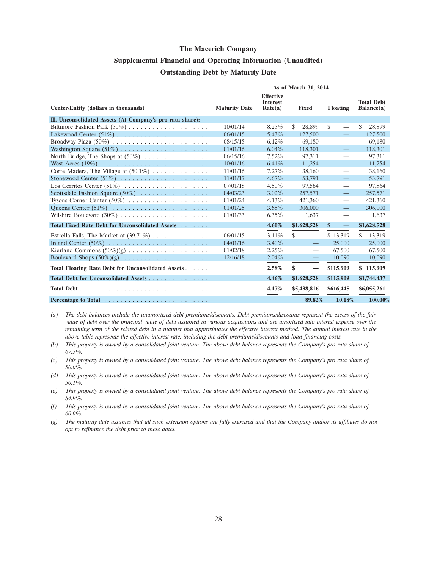## **Supplemental Financial and Operating Information (Unaudited) Outstanding Debt by Maturity Date**

|                                                                   | As of March 31, 2014 |                                                |              |                                  |                                           |     |                                 |
|-------------------------------------------------------------------|----------------------|------------------------------------------------|--------------|----------------------------------|-------------------------------------------|-----|---------------------------------|
| Center/Entity (dollars in thousands)                              | <b>Maturity Date</b> | <b>Effective</b><br><b>Interest</b><br>Rate(a) | <b>Fixed</b> |                                  | <b>Floating</b>                           |     | <b>Total Debt</b><br>Balance(a) |
| II. Unconsolidated Assets (At Company's pro rata share):          |                      |                                                |              |                                  |                                           |     |                                 |
|                                                                   | 10/01/14             | 8.25%                                          | \$<br>28,899 |                                  | \$                                        | S   | 28,899                          |
|                                                                   | 06/01/15             | 5.43%                                          | 127,500      |                                  |                                           |     | 127,500                         |
|                                                                   | 08/15/15             | $6.12\%$                                       | 69.180       |                                  | $\overline{\phantom{0}}$                  |     | 69,180                          |
|                                                                   | 01/01/16             | $6.04\%$                                       | 118,301      |                                  | 二                                         |     | 118,301                         |
| North Bridge, The Shops at $(50\%)$                               | 06/15/16             | $7.52\%$                                       | 97,311       |                                  | $\qquad \qquad \overline{\qquad \qquad }$ |     | 97,311                          |
|                                                                   | 10/01/16             | 6.41%                                          | 11,254       |                                  |                                           |     | 11,254                          |
| Corte Madera, The Village at $(50.1\%) \dots \dots \dots \dots$   | 11/01/16             | $7.27\%$                                       | 38,160       |                                  |                                           |     | 38,160                          |
|                                                                   | 11/01/17             | $4.67\%$                                       | 53,791       |                                  | $\equiv$                                  |     | 53,791                          |
| Los Cerritos Center $(51\%)$                                      | 07/01/18             | $4.50\%$                                       | 97,564       |                                  | $\overline{\phantom{0}}$                  |     | 97,564                          |
| Scottsdale Fashion Square $(50\%)$                                | 04/03/23             | $3.02\%$                                       | 257,571      |                                  | $\equiv$                                  |     | 257,571                         |
| Tysons Corner Center (50%)                                        | 01/01/24             | 4.13%                                          | 421,360      |                                  | $\overline{\phantom{0}}$                  |     | 421,360                         |
|                                                                   | 01/01/25             | $3.65\%$                                       | 306,000      |                                  |                                           |     | 306,000                         |
|                                                                   | 01/01/33             | $6.35\%$                                       |              | 1,637                            |                                           |     | 1,637                           |
| Total Fixed Rate Debt for Unconsolidated Assets                   |                      | 4.60%                                          | \$1,628,528  |                                  | \$<br>$\overline{\phantom{m}}$            |     | \$1,628,528                     |
| Estrella Falls, The Market at $(39.71\%) \dots \dots \dots \dots$ | 06/01/15             | 3.11%                                          | \$           |                                  | \$13,319                                  | \$. | 13,319                          |
|                                                                   | 04/01/16             | $3.40\%$                                       |              |                                  | 25,000                                    |     | 25,000                          |
|                                                                   | 01/02/18             | 2.25%                                          |              | $\overline{\phantom{0}}$         | 67,500                                    |     | 67,500                          |
|                                                                   | 12/16/18             | 2.04%                                          |              |                                  | 10,090                                    |     | 10,090                          |
| Total Floating Rate Debt for Unconsolidated Assets                |                      | 2.58%                                          | \$           | $\overbrace{\phantom{12322111}}$ | \$115,909                                 |     | \$115,909                       |
| Total Debt for Unconsolidated Assets                              |                      | 4.46%                                          | \$1,628,528  |                                  | \$115,909                                 |     | \$1,744,437                     |
|                                                                   |                      | 4.17%                                          | \$5,438,816  |                                  | \$616,445                                 |     | \$6,055,261                     |
|                                                                   |                      |                                                |              | 89.82%                           | 10.18%                                    |     | 100.00%                         |

*(a) The debt balances include the unamortized debt premiums/discounts. Debt premiums/discounts represent the excess of the fair value of debt over the principal value of debt assumed in various acquisitions and are amortized into interest expense over the remaining term of the related debt in a manner that approximates the effective interest method. The annual interest rate in the above table represents the effective interest rate, including the debt premiums/discounts and loan financing costs.*

*(b) This property is owned by a consolidated joint venture. The above debt balance represents the Company's pro rata share of 67.5%.*

*(c) This property is owned by a consolidated joint venture. The above debt balance represents the Company's pro rata share of 50.0%.*

*(d) This property is owned by a consolidated joint venture. The above debt balance represents the Company's pro rata share of 50.1%.*

*(e) This property is owned by a consolidated joint venture. The above debt balance represents the Company's pro rata share of 84.9%.*

*(f) This property is owned by a consolidated joint venture. The above debt balance represents the Company's pro rata share of 60.0%.*

*(g) The maturity date assumes that all such extension options are fully exercised and that the Company and/or its affiliates do not opt to refinance the debt prior to these dates.*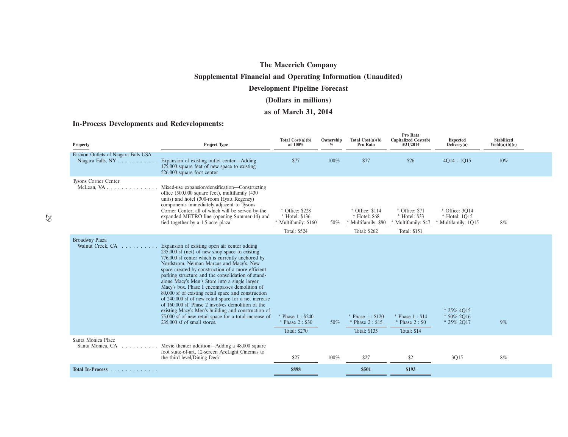## **Supplemental Financial and Operating Information (Unaudited)**

### **Development Pipeline Forecast**

## **(Dollars in millions)**

### **as of March 31, 2014**

### **In-Process Developments and Redevelopments:**

| Property                                                  | Project Type                                                                                                                                                                                                                                                                                                                                                                                                                                                                                                                                                                                                                                                                                                                   | Total $Cost(a)(b)$<br>at 100%                                           | Ownership<br>$\%$ | Total $Cost(a)(b)$<br>Pro Rata                                          | Pro Rata<br>Capitalized Costs(b)<br>3/31/2014                        | <b>Expected</b><br>Delivery(a)                       | <b>Stabilized</b><br>Yield(a)(b)(c) |  |
|-----------------------------------------------------------|--------------------------------------------------------------------------------------------------------------------------------------------------------------------------------------------------------------------------------------------------------------------------------------------------------------------------------------------------------------------------------------------------------------------------------------------------------------------------------------------------------------------------------------------------------------------------------------------------------------------------------------------------------------------------------------------------------------------------------|-------------------------------------------------------------------------|-------------------|-------------------------------------------------------------------------|----------------------------------------------------------------------|------------------------------------------------------|-------------------------------------|--|
| Fashion Outlets of Niagara Falls USA<br>Niagara Falls, NY | Expansion of existing outlet center—Adding<br>175,000 square feet of new space to existing<br>526,000 square foot center                                                                                                                                                                                                                                                                                                                                                                                                                                                                                                                                                                                                       | \$77                                                                    | 100%              | \$77                                                                    | \$26                                                                 | $4014 - 1015$                                        | $10\%$                              |  |
| Tysons Corner Center                                      | Mixed-use expansion/densification-Constructing<br>office (500,000 square feet), multifamily (430<br>units) and hotel (300-room Hyatt Regency)<br>components immediately adjacent to Tysons<br>Corner Center, all of which will be served by the<br>expanded METRO line (opening Summer-14) and<br>tied together by a 1.5-acre plaza                                                                                                                                                                                                                                                                                                                                                                                            | * Office: \$228<br>* Hotel: \$136<br>Multifamily: \$160<br>Total: \$524 | 50%               | * Office: \$114<br>* Hotel: \$68<br>* Multifamily: \$80<br>Total: \$262 | * Office: \$71<br>* Hotel: \$33<br>Multifamily: \$47<br>Total: \$151 | * Office: 3014<br>* Hotel: 1015<br>Multifamily: 1Q15 | 8%                                  |  |
| <b>Broadway Plaza</b><br>Walnut Creek, CA                 | Expansion of existing open air center adding<br>$235,000$ sf (net) of new shop space to existing<br>776,000 sf center which is currently anchored by<br>Nordstrom, Neiman Marcus and Macy's. New<br>space created by construction of a more efficient<br>parking structure and the consolidation of stand-<br>alone Macy's Men's Store into a single larger<br>Macy's box. Phase I encompasses demolition of<br>80,000 sf of existing retail space and construction<br>of 240,000 sf of new retail space for a net increase<br>of 160,000 sf. Phase 2 involves demolition of the<br>existing Macy's Men's building and construction of<br>75,000 sf of new retail space for a total increase of<br>235,000 sf of small stores. | Phase 1: \$240<br>* Phase 2: \$30<br>Total: \$270                       | 50%               | * Phase 1: \$120<br>* Phase 2: \$15<br><b>Total: \$135</b>              | * Phase 1: \$14<br>* Phase 2: \$0<br><b>Total: \$14</b>              | $* 25\% 4015$<br>$*50\%2O16$<br>* 25% 2017           | 9%                                  |  |
| Santa Monica Place<br>Santa Monica, CA                    | Movie theater addition—Adding a 48,000 square<br>foot state-of-art, 12-screen ArcLight Cinemas to<br>the third level/Dining Deck                                                                                                                                                                                                                                                                                                                                                                                                                                                                                                                                                                                               | \$27                                                                    | 100%              | \$27                                                                    | \$2                                                                  | 3Q15                                                 | 8%                                  |  |
| Total In-Process                                          |                                                                                                                                                                                                                                                                                                                                                                                                                                                                                                                                                                                                                                                                                                                                | \$898                                                                   |                   | \$501                                                                   | \$193                                                                |                                                      |                                     |  |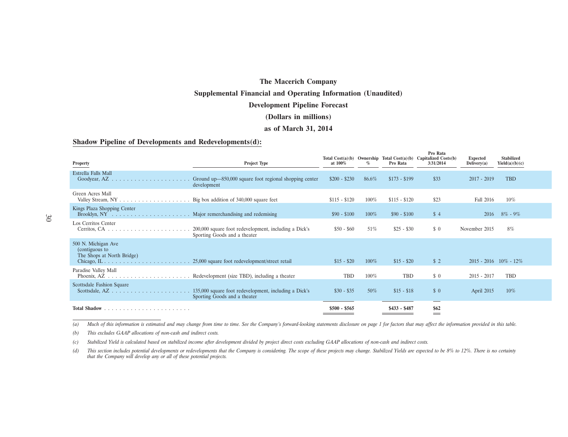#### **Supplemental Financial and Operating Information (Unaudited)**

#### **Development Pipeline Forecast**

#### **(Dollars in millions)**

#### **as of March 31, 2014**

#### **Shadow Pipeline of Developments and Redevelopments(d):**

| Property                                                                               | Project Type                                                                          | at 100%       | $\%$    | Pro Rata      | Pro Rata<br>Total Cost(a)(b) Ownership Total Cost(a)(b) Capitalized Costs(b)<br>3/31/2014 | <b>Expected</b><br>Delivery(a) | <b>Stabilized</b><br>Yield(a)(b)(c) |
|----------------------------------------------------------------------------------------|---------------------------------------------------------------------------------------|---------------|---------|---------------|-------------------------------------------------------------------------------------------|--------------------------------|-------------------------------------|
| Estrella Falls Mall<br>Goodyear, AZ.<br>.                                              | Ground up—850,000 square foot regional shopping center<br>development                 | $$200 - $230$ | 86.6%   | $$173 - $199$ | \$33                                                                                      | $2017 - 2019$                  | <b>TBD</b>                          |
| Green Acres Mall                                                                       | Big box addition of 340,000 square feet                                               | $$115 - $120$ | 100%    | $$115 - $120$ | \$23                                                                                      | Fall 2016                      | $10\%$                              |
| Kings Plaza Shopping Center                                                            |                                                                                       | $$90 - $100$  | $100\%$ | $$90 - $100$  | \$4                                                                                       | 2016                           | $8\% - 9\%$                         |
| Los Cerritos Center<br>Cerritos, CA $\ldots \ldots \ldots \ldots \ldots \ldots \ldots$ | 200,000 square foot redevelopment, including a Dick's<br>Sporting Goods and a theater | $$50 - $60$   | 51%     | $$25 - $30$   | $\Omega$                                                                                  | November 2015                  | 8%                                  |
| 500 N. Michigan Ave<br>(contiguous to<br>The Shops at North Bridge)                    |                                                                                       | $$15 - $20$   | $100\%$ | $$15 - $20$   | \$2                                                                                       | $2015 - 2016$ $10\% - 12\%$    |                                     |
| Paradise Valley Mall                                                                   | Redevelopment (size TBD), including a theater                                         | <b>TBD</b>    | 100%    | TBD           | \$0                                                                                       | $2015 - 2017$                  | TBD                                 |
| Scottsdale Fashion Square                                                              | 135,000 square foot redevelopment, including a Dick's<br>Sporting Goods and a theater | $$30 - $35$   | 50%     | $$15 - $18$   | $\frac{1}{2}$                                                                             | April 2015                     | $10\%$                              |
| Total Shadow.                                                                          |                                                                                       | $$500 - $565$ |         | $$433 - $487$ | \$62<br>$=$                                                                               |                                |                                     |

(a) Much of this information is estimated and may change from time to time. See the Company's forward-looking statements disclosure on page 1 for factors that may affect the information provided in this table.

*(b) This excludes GAAP allocations of non-cash and indirect costs.*

*(c) Stabilized Yield is calculated based on stabilized income after development divided by project direct costs excluding GAAP allocations of non-cash and indirect costs.*

(d) This section includes potential developments or redevelopments that the Company is considering. The scope of these projects may change. Stabilized Yields are expected to be 8% to 12%. There is no certainty *that the Company will develop any or all of these potential projects.*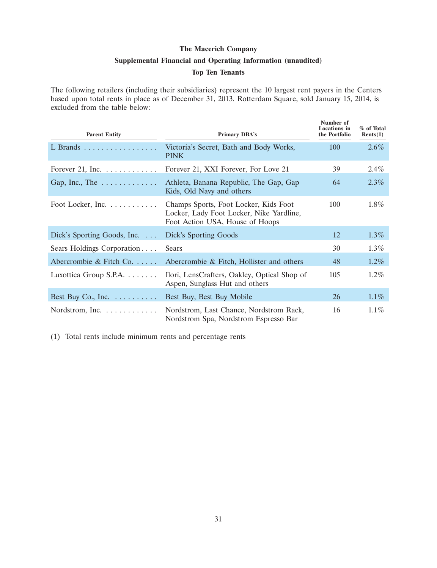## **Supplemental Financial and Operating Information (unaudited)**

### **Top Ten Tenants**

The following retailers (including their subsidiaries) represent the 10 largest rent payers in the Centers based upon total rents in place as of December 31, 2013. Rotterdam Square, sold January 15, 2014, is excluded from the table below:

| <b>Parent Entity</b>                  | <b>Primary DBA's</b>                                                                                                 | Number of<br><b>Locations</b> in<br>the Portfolio | % of Total<br>Rents(1) |
|---------------------------------------|----------------------------------------------------------------------------------------------------------------------|---------------------------------------------------|------------------------|
| L Brands                              | Victoria's Secret, Bath and Body Works,<br><b>PINK</b>                                                               | 100                                               | 2.6%                   |
| Forever 21, Inc. $\dots \dots \dots$  | Forever 21, XXI Forever, For Love 21                                                                                 | 39                                                | $2.4\%$                |
| Gap, Inc., The $\dots \dots \dots$    | Athleta, Banana Republic, The Gap, Gap<br>Kids, Old Navy and others                                                  | 64                                                | 2.3%                   |
| Foot Locker, Inc. $\dots \dots \dots$ | Champs Sports, Foot Locker, Kids Foot<br>Locker, Lady Foot Locker, Nike Yardline,<br>Foot Action USA, House of Hoops | 100                                               | $1.8\%$                |
| Dick's Sporting Goods, Inc. $\ldots$  | Dick's Sporting Goods                                                                                                | 12                                                | $1.3\%$                |
| Sears Holdings Corporation            | Sears                                                                                                                | 30                                                | $1.3\%$                |
| Abercrombie & Fitch Co.               | Abercrombie & Fitch, Hollister and others                                                                            | 48                                                | $1.2\%$                |
| Luxottica Group S.P.A.                | Ilori, LensCrafters, Oakley, Optical Shop of<br>Aspen, Sunglass Hut and others                                       | 105                                               | $1.2\%$                |
| Best Buy Co., Inc. $\dots \dots$      | Best Buy, Best Buy Mobile                                                                                            | 26                                                | $1.1\%$                |
| Nordstrom, Inc.                       | Nordstrom, Last Chance, Nordstrom Rack,<br>Nordstrom Spa, Nordstrom Espresso Bar                                     | 16                                                | $1.1\%$                |

(1) Total rents include minimum rents and percentage rents